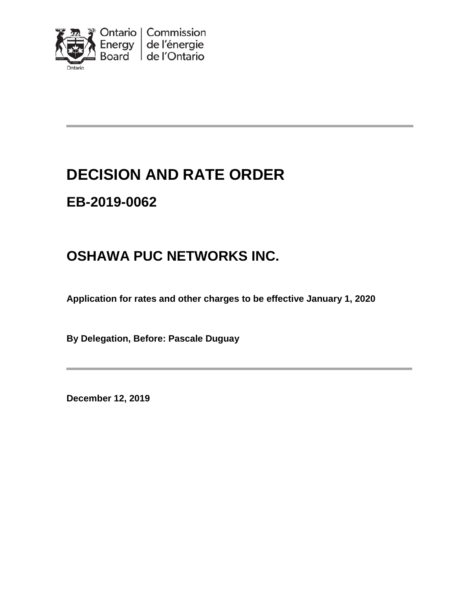

# **DECISION AND RATE ORDER**

# **EB-2019-0062**

# **OSHAWA PUC NETWORKS INC.**

**Application for rates and other charges to be effective January 1, 2020**

**By Delegation, Before: Pascale Duguay**

**December 12, 2019**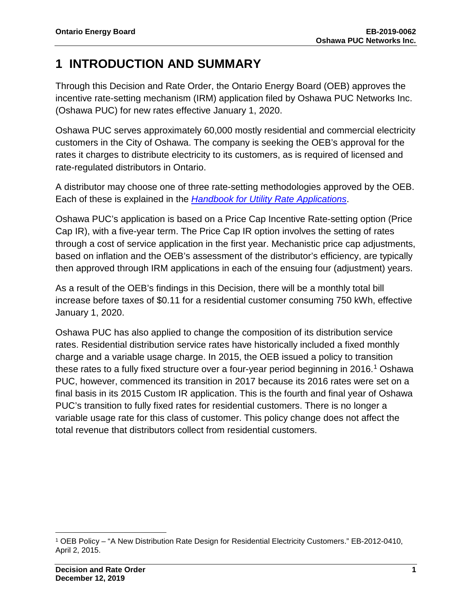## **1 INTRODUCTION AND SUMMARY**

Through this Decision and Rate Order, the Ontario Energy Board (OEB) approves the incentive rate-setting mechanism (IRM) application filed by Oshawa PUC Networks Inc. (Oshawa PUC) for new rates effective January 1, 2020.

Oshawa PUC serves approximately 60,000 mostly residential and commercial electricity customers in the City of Oshawa. The company is seeking the OEB's approval for the rates it charges to distribute electricity to its customers, as is required of licensed and rate-regulated distributors in Ontario.

A distributor may choose one of three rate-setting methodologies approved by the OEB. Each of these is explained in the *[Handbook for Utility Rate Applications](https://www.oeb.ca/industry/rules-codes-and-requirements/handbook-utility-rate-applications)*.

Oshawa PUC's application is based on a Price Cap Incentive Rate-setting option (Price Cap IR), with a five-year term. The Price Cap IR option involves the setting of rates through a cost of service application in the first year. Mechanistic price cap adjustments, based on inflation and the OEB's assessment of the distributor's efficiency, are typically then approved through IRM applications in each of the ensuing four (adjustment) years.

As a result of the OEB's findings in this Decision, there will be a monthly total bill increase before taxes of \$0.11 for a residential customer consuming 750 kWh, effective January 1, 2020.

Oshawa PUC has also applied to change the composition of its distribution service rates. Residential distribution service rates have historically included a fixed monthly charge and a variable usage charge. In 2015, the OEB issued a policy to transition these rates to a fully fixed structure over a four-year period beginning in 20[1](#page-1-0)6.<sup>1</sup> Oshawa PUC, however, commenced its transition in 2017 because its 2016 rates were set on a final basis in its 2015 Custom IR application. This is the fourth and final year of Oshawa PUC's transition to fully fixed rates for residential customers. There is no longer a variable usage rate for this class of customer. This policy change does not affect the total revenue that distributors collect from residential customers.

l

<span id="page-1-0"></span><sup>1</sup> OEB Policy – "A New Distribution Rate Design for Residential Electricity Customers." EB-2012-0410, April 2, 2015.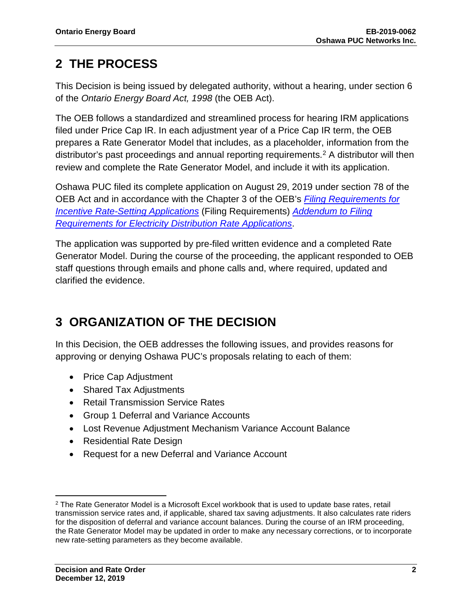## **2 THE PROCESS**

This Decision is being issued by delegated authority, without a hearing, under section 6 of the *Ontario Energy Board Act, 1998* (the OEB Act).

The OEB follows a standardized and streamlined process for hearing IRM applications filed under Price Cap IR. In each adjustment year of a Price Cap IR term, the OEB prepares a Rate Generator Model that includes, as a placeholder, information from the distributor's past proceedings and annual reporting requirements.<sup>[2](#page-2-0)</sup> A distributor will then review and complete the Rate Generator Model, and include it with its application.

Oshawa PUC filed its complete application on August 29, 2019 under section 78 of the OEB Act and in accordance with the Chapter 3 of the OEB's *[Filing Requirements for](https://www.oeb.ca/sites/default/files/Chapter-3-Filing-Requirements-20180712-1.pdf)  [Incentive Rate-Setting Applications](https://www.oeb.ca/sites/default/files/Chapter-3-Filing-Requirements-20180712-1.pdf)* (Filing Requirements) *[Addendum to Filing](https://www.oeb.ca/sites/default/files/Addendum-to-Filing-Requirements-20190715.pdf)  [Requirements for Electricity Distribution Rate Applications](https://www.oeb.ca/sites/default/files/Addendum-to-Filing-Requirements-20190715.pdf)*.

The application was supported by pre-filed written evidence and a completed Rate Generator Model. During the course of the proceeding, the applicant responded to OEB staff questions through emails and phone calls and, where required, updated and clarified the evidence.

# **3 ORGANIZATION OF THE DECISION**

In this Decision, the OEB addresses the following issues, and provides reasons for approving or denying Oshawa PUC's proposals relating to each of them:

- Price Cap Adjustment
- Shared Tax Adjustments
- Retail Transmission Service Rates
- Group 1 Deferral and Variance Accounts
- Lost Revenue Adjustment Mechanism Variance Account Balance
- Residential Rate Design
- Request for a new Deferral and Variance Account

 $\overline{\phantom{a}}$ 

<span id="page-2-0"></span><sup>&</sup>lt;sup>2</sup> The Rate Generator Model is a Microsoft Excel workbook that is used to update base rates, retail transmission service rates and, if applicable, shared tax saving adjustments. It also calculates rate riders for the disposition of deferral and variance account balances. During the course of an IRM proceeding, the Rate Generator Model may be updated in order to make any necessary corrections, or to incorporate new rate-setting parameters as they become available.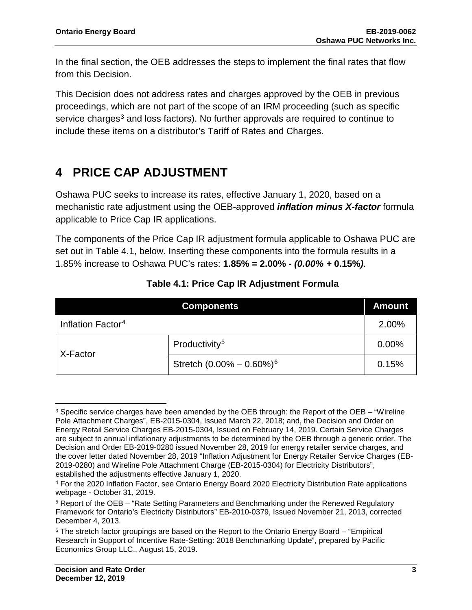In the final section, the OEB addresses the steps to implement the final rates that flow from this Decision.

This Decision does not address rates and charges approved by the OEB in previous proceedings, which are not part of the scope of an IRM proceeding (such as specific service charges<sup>[3](#page-3-0)</sup> and loss factors). No further approvals are required to continue to include these items on a distributor's Tariff of Rates and Charges.

## **4 PRICE CAP ADJUSTMENT**

Oshawa PUC seeks to increase its rates, effective January 1, 2020, based on a mechanistic rate adjustment using the OEB-approved *inflation minus X-factor* formula applicable to Price Cap IR applications.

The components of the Price Cap IR adjustment formula applicable to Oshawa PUC are set out in Table 4.1, below. Inserting these components into the formula results in a 1.85% increase to Oshawa PUC's rates: **1.85%** *=* **2.00%** *- (0.00% +* **0.15%***)*.

| <b>Components</b>             |                                          | <b>Amount</b> |
|-------------------------------|------------------------------------------|---------------|
| Inflation Factor <sup>4</sup> |                                          | 2.00%         |
| X-Factor                      | Productivity <sup>5</sup>                | 0.00%         |
|                               | Stretch $(0.00\% - 0.60\%)$ <sup>6</sup> | 0.15%         |

### **Table 4.1: Price Cap IR Adjustment Formula**

 $\overline{\phantom{a}}$ 

<span id="page-3-0"></span><sup>3</sup> Specific service charges have been amended by the OEB through: the Report of the OEB – "Wireline Pole Attachment Charges", EB-2015-0304, Issued March 22, 2018; and, the Decision and Order on Energy Retail Service Charges EB-2015-0304, Issued on February 14, 2019. Certain Service Charges are subject to annual inflationary adjustments to be determined by the OEB through a generic order. The Decision and Order EB-2019-0280 issued November 28, 2019 for energy retailer service charges, and the cover letter dated November 28, 2019 "Inflation Adjustment for Energy Retailer Service Charges (EB-2019-0280) and Wireline Pole Attachment Charge (EB-2015-0304) for Electricity Distributors", established the adjustments effective January 1, 2020.

<span id="page-3-1"></span><sup>4</sup> For the 2020 Inflation Factor, see Ontario Energy Board 2020 Electricity Distribution Rate applications webpage - October 31, 2019.

<span id="page-3-2"></span><sup>5</sup> Report of the OEB – "Rate Setting Parameters and Benchmarking under the Renewed Regulatory Framework for Ontario's Electricity Distributors" EB-2010-0379, Issued November 21, 2013, corrected December 4, 2013.

<span id="page-3-4"></span><span id="page-3-3"></span><sup>&</sup>lt;sup>6</sup> The stretch factor groupings are based on the Report to the Ontario Energy Board – "Empirical Research in Support of Incentive Rate-Setting: 2018 Benchmarking Update", prepared by Pacific Economics Group LLC., August 15, 2019.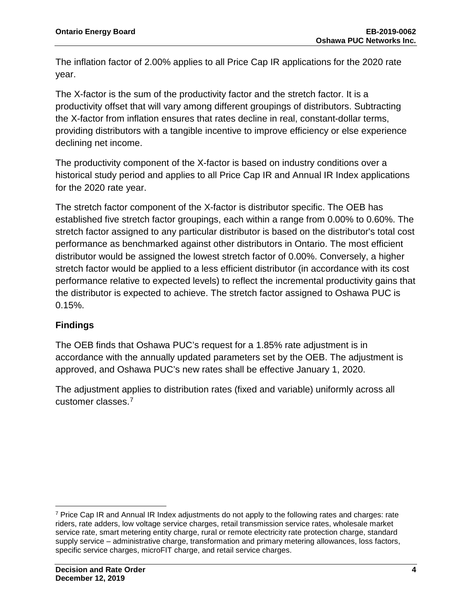The inflation factor of 2.00% applies to all Price Cap IR applications for the 2020 rate year.

The X-factor is the sum of the productivity factor and the stretch factor. It is a productivity offset that will vary among different groupings of distributors. Subtracting the X-factor from inflation ensures that rates decline in real, constant-dollar terms, providing distributors with a tangible incentive to improve efficiency or else experience declining net income.

The productivity component of the X-factor is based on industry conditions over a historical study period and applies to all Price Cap IR and Annual IR Index applications for the 2020 rate year.

The stretch factor component of the X-factor is distributor specific. The OEB has established five stretch factor groupings, each within a range from 0.00% to 0.60%. The stretch factor assigned to any particular distributor is based on the distributor's total cost performance as benchmarked against other distributors in Ontario. The most efficient distributor would be assigned the lowest stretch factor of 0.00%. Conversely, a higher stretch factor would be applied to a less efficient distributor (in accordance with its cost performance relative to expected levels) to reflect the incremental productivity gains that the distributor is expected to achieve. The stretch factor assigned to Oshawa PUC is 0.15%.

### **Findings**

The OEB finds that Oshawa PUC's request for a 1.85% rate adjustment is in accordance with the annually updated parameters set by the OEB. The adjustment is approved, and Oshawa PUC's new rates shall be effective January 1, 2020.

The adjustment applies to distribution rates (fixed and variable) uniformly across all customer classes.[7](#page-4-0)

<span id="page-4-0"></span> $\overline{\phantom{a}}$ <sup>7</sup> Price Cap IR and Annual IR Index adjustments do not apply to the following rates and charges: rate riders, rate adders, low voltage service charges, retail transmission service rates, wholesale market service rate, smart metering entity charge, rural or remote electricity rate protection charge, standard supply service – administrative charge, transformation and primary metering allowances, loss factors, specific service charges, microFIT charge, and retail service charges.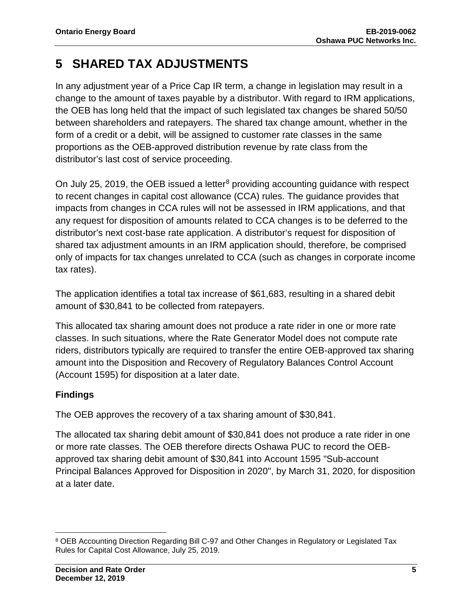## **5 SHARED TAX ADJUSTMENTS**

In any adjustment year of a Price Cap IR term, a change in legislation may result in a change to the amount of taxes payable by a distributor. With regard to IRM applications, the OEB has long held that the impact of such legislated tax changes be shared 50/50 between shareholders and ratepayers. The shared tax change amount, whether in the form of a credit or a debit, will be assigned to customer rate classes in the same proportions as the OEB-approved distribution revenue by rate class from the distributor's last cost of service proceeding.

On July 25, 2019, the OEB issued a letter<sup>[8](#page-5-0)</sup> providing accounting guidance with respect to recent changes in capital cost allowance (CCA) rules. The guidance provides that impacts from changes in CCA rules will not be assessed in IRM applications, and that any request for disposition of amounts related to CCA changes is to be deferred to the distributor's next cost-base rate application. A distributor's request for disposition of shared tax adjustment amounts in an IRM application should, therefore, be comprised only of impacts for tax changes unrelated to CCA (such as changes in corporate income tax rates).

The application identifies a total tax increase of \$61,683, resulting in a shared debit amount of \$30,841 to be collected from ratepayers.

This allocated tax sharing amount does not produce a rate rider in one or more rate classes. In such situations, where the Rate Generator Model does not compute rate riders, distributors typically are required to transfer the entire OEB-approved tax sharing amount into the Disposition and Recovery of Regulatory Balances Control Account (Account 1595) for disposition at a later date.

### **Findings**

The OEB approves the recovery of a tax sharing amount of \$30,841.

The allocated tax sharing debit amount of \$30,841 does not produce a rate rider in one or more rate classes. The OEB therefore directs Oshawa PUC to record the OEBapproved tax sharing debit amount of \$30,841 into Account 1595 "Sub-account Principal Balances Approved for Disposition in 2020", by March 31, 2020, for disposition at a later date.

<span id="page-5-0"></span>l <sup>8</sup> OEB Accounting Direction Regarding Bill C-97 and Other Changes in Regulatory or Legislated Tax Rules for Capital Cost Allowance, July 25, 2019.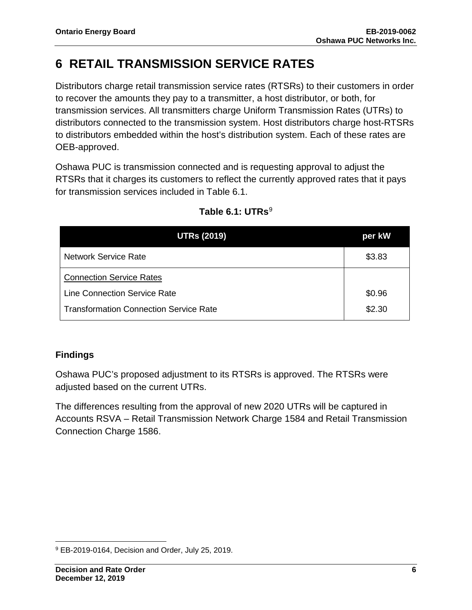## **6 RETAIL TRANSMISSION SERVICE RATES**

Distributors charge retail transmission service rates (RTSRs) to their customers in order to recover the amounts they pay to a transmitter, a host distributor, or both, for transmission services. All transmitters charge Uniform Transmission Rates (UTRs) to distributors connected to the transmission system. Host distributors charge host-RTSRs to distributors embedded within the host's distribution system. Each of these rates are OEB-approved.

Oshawa PUC is transmission connected and is requesting approval to adjust the RTSRs that it charges its customers to reflect the currently approved rates that it pays for transmission services included in Table 6.1.

| <b>UTRs (2019)</b>                            | per kW |
|-----------------------------------------------|--------|
| <b>Network Service Rate</b>                   | \$3.83 |
| <b>Connection Service Rates</b>               |        |
| <b>Line Connection Service Rate</b>           | \$0.96 |
| <b>Transformation Connection Service Rate</b> | \$2.30 |

### Table 6.1: UTRs<sup>[9](#page-6-0)</sup>

### **Findings**

Oshawa PUC's proposed adjustment to its RTSRs is approved. The RTSRs were adjusted based on the current UTRs.

The differences resulting from the approval of new 2020 UTRs will be captured in Accounts RSVA – Retail Transmission Network Charge 1584 and Retail Transmission Connection Charge 1586.

<span id="page-6-0"></span>l <sup>9</sup> EB-2019-0164, Decision and Order, July 25, 2019.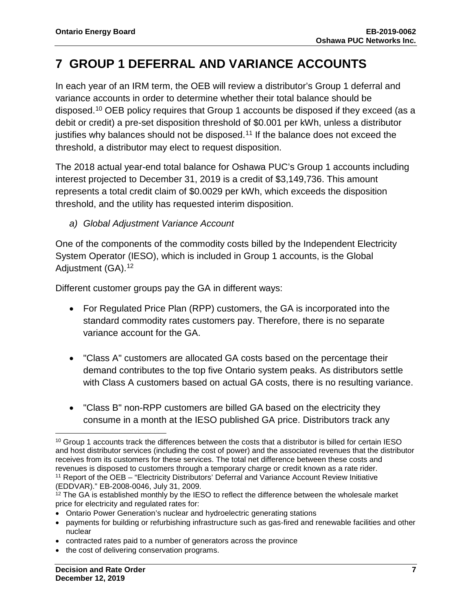## **7 GROUP 1 DEFERRAL AND VARIANCE ACCOUNTS**

In each year of an IRM term, the OEB will review a distributor's Group 1 deferral and variance accounts in order to determine whether their total balance should be disposed.[10](#page-7-0) OEB policy requires that Group 1 accounts be disposed if they exceed (as a debit or credit) a pre-set disposition threshold of \$0.001 per kWh, unless a distributor justifies why balances should not be disposed.[11](#page-7-1) If the balance does not exceed the threshold, a distributor may elect to request disposition.

The 2018 actual year-end total balance for Oshawa PUC's Group 1 accounts including interest projected to December 31, 2019 is a credit of \$3,149,736. This amount represents a total credit claim of \$0.0029 per kWh, which exceeds the disposition threshold, and the utility has requested interim disposition.

*a) Global Adjustment Variance Account*

One of the components of the commodity costs billed by the Independent Electricity System Operator (IESO), which is included in Group 1 accounts, is the Global Adjustment (GA).<sup>[12](#page-7-2)</sup>

Different customer groups pay the GA in different ways:

- For Regulated Price Plan (RPP) customers, the GA is incorporated into the standard commodity rates customers pay. Therefore, there is no separate variance account for the GA.
- "Class A" customers are allocated GA costs based on the percentage their demand contributes to the top five Ontario system peaks. As distributors settle with Class A customers based on actual GA costs, there is no resulting variance.
- "Class B" non-RPP customers are billed GA based on the electricity they consume in a month at the IESO published GA price. Distributors track any

• Ontario Power Generation's nuclear and hydroelectric generating stations

- contracted rates paid to a number of generators across the province
- the cost of delivering conservation programs.

<span id="page-7-0"></span>l <sup>10</sup> Group 1 accounts track the differences between the costs that a distributor is billed for certain IESO and host distributor services (including the cost of power) and the associated revenues that the distributor receives from its customers for these services. The total net difference between these costs and revenues is disposed to customers through a temporary charge or credit known as a rate rider. <sup>11</sup> Report of the OEB – "Electricity Distributors' Deferral and Variance Account Review Initiative (EDDVAR)." EB-2008-0046, July 31, 2009.

<span id="page-7-2"></span><span id="page-7-1"></span><sup>&</sup>lt;sup>12</sup> The GA is established monthly by the IESO to reflect the difference between the wholesale market price for electricity and regulated rates for:

<sup>•</sup> payments for building or refurbishing infrastructure such as gas-fired and renewable facilities and other nuclear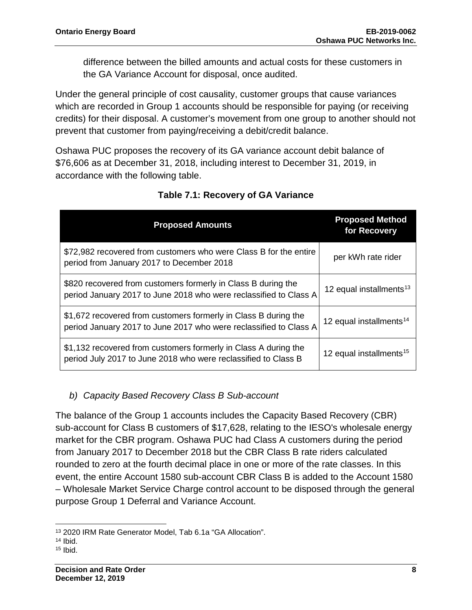difference between the billed amounts and actual costs for these customers in the GA Variance Account for disposal, once audited.

Under the general principle of cost causality, customer groups that cause variances which are recorded in Group 1 accounts should be responsible for paying (or receiving credits) for their disposal. A customer's movement from one group to another should not prevent that customer from paying/receiving a debit/credit balance.

Oshawa PUC proposes the recovery of its GA variance account debit balance of \$76,606 as at December 31, 2018, including interest to December 31, 2019, in accordance with the following table.

| <b>Proposed Amounts</b>                                                                                                              | <b>Proposed Method</b><br>for Recovery |
|--------------------------------------------------------------------------------------------------------------------------------------|----------------------------------------|
| \$72,982 recovered from customers who were Class B for the entire<br>period from January 2017 to December 2018                       | per kWh rate rider                     |
| \$820 recovered from customers formerly in Class B during the<br>period January 2017 to June 2018 who were reclassified to Class A   | 12 equal installments <sup>13</sup>    |
| \$1,672 recovered from customers formerly in Class B during the<br>period January 2017 to June 2017 who were reclassified to Class A | 12 equal installments <sup>14</sup>    |
| \$1,132 recovered from customers formerly in Class A during the<br>period July 2017 to June 2018 who were reclassified to Class B    | 12 equal installments <sup>15</sup>    |

### **Table 7.1: Recovery of GA Variance**

### *b) Capacity Based Recovery Class B Sub-account*

The balance of the Group 1 accounts includes the Capacity Based Recovery (CBR) sub-account for Class B customers of \$17,628, relating to the IESO's wholesale energy market for the CBR program. Oshawa PUC had Class A customers during the period from January 2017 to December 2018 but the CBR Class B rate riders calculated rounded to zero at the fourth decimal place in one or more of the rate classes. In this event, the entire Account 1580 sub-account CBR Class B is added to the Account 1580 – Wholesale Market Service Charge control account to be disposed through the general purpose Group 1 Deferral and Variance Account.

<span id="page-8-0"></span>l <sup>13</sup> 2020 IRM Rate Generator Model, Tab 6.1a "GA Allocation".

<span id="page-8-1"></span> $14$  Ibid.

<span id="page-8-2"></span> $15$  Ibid.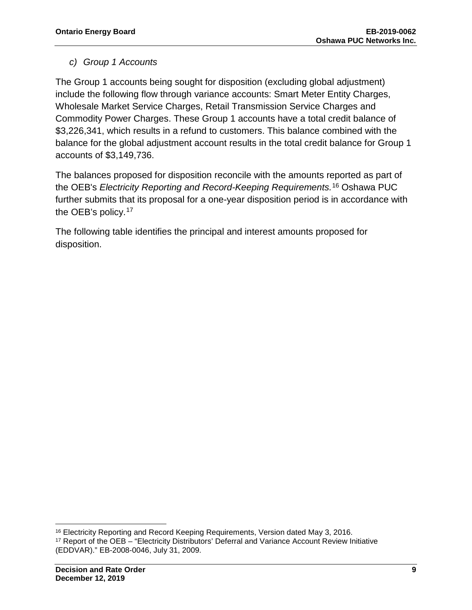### *c) Group 1 Accounts*

The Group 1 accounts being sought for disposition (excluding global adjustment) include the following flow through variance accounts: Smart Meter Entity Charges, Wholesale Market Service Charges, Retail Transmission Service Charges and Commodity Power Charges. These Group 1 accounts have a total credit balance of \$3,226,341, which results in a refund to customers. This balance combined with the balance for the global adjustment account results in the total credit balance for Group 1 accounts of \$3,149,736.

The balances proposed for disposition reconcile with the amounts reported as part of the OEB's *Electricity Reporting and Record-Keeping Requirements.*[16](#page-9-0) Oshawa PUC further submits that its proposal for a one-year disposition period is in accordance with the OEB's policy.<sup>[17](#page-9-1)</sup>

The following table identifies the principal and interest amounts proposed for disposition.

l <sup>16</sup> Electricity Reporting and Record Keeping Requirements, Version dated May 3, 2016.

<span id="page-9-1"></span><span id="page-9-0"></span><sup>17</sup> Report of the OEB – "Electricity Distributors' Deferral and Variance Account Review Initiative (EDDVAR)." EB-2008-0046, July 31, 2009.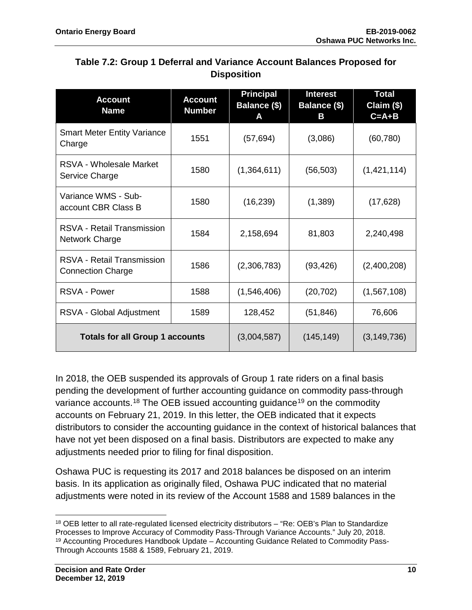| Table 7.2: Group 1 Deferral and Variance Account Balances Proposed for |
|------------------------------------------------------------------------|
| <b>Disposition</b>                                                     |

| <b>Account</b><br><b>Name</b>                          | <b>Account</b><br><b>Number</b> | <b>Principal</b><br>Balance (\$)<br>A | <b>Interest</b><br>Balance (\$)<br>Β | <b>Total</b><br>Claim (\$)<br>$C = A + B$ |
|--------------------------------------------------------|---------------------------------|---------------------------------------|--------------------------------------|-------------------------------------------|
| <b>Smart Meter Entity Variance</b><br>Charge           | 1551                            | (57, 694)                             | (3,086)                              | (60, 780)                                 |
| <b>RSVA - Wholesale Market</b><br>Service Charge       | 1580                            | (1,364,611)                           | (56, 503)                            | (1,421,114)                               |
| Variance WMS - Sub-<br>account CBR Class B             | 1580                            | (16, 239)                             | (1,389)                              | (17, 628)                                 |
| <b>RSVA - Retail Transmission</b><br>Network Charge    | 1584                            | 2,158,694                             | 81,803                               | 2,240,498                                 |
| RSVA - Retail Transmission<br><b>Connection Charge</b> | 1586                            | (2,306,783)                           | (93, 426)                            | (2,400,208)                               |
| RSVA - Power                                           | 1588                            | (1,546,406)                           | (20, 702)                            | (1,567,108)                               |
| RSVA - Global Adjustment                               | 1589                            | 128,452                               | (51, 846)                            | 76,606                                    |
| <b>Totals for all Group 1 accounts</b>                 |                                 | (3,004,587)                           | (145, 149)                           | (3, 149, 736)                             |

In 2018, the OEB suspended its approvals of Group 1 rate riders on a final basis pending the development of further accounting guidance on commodity pass-through variance accounts.<sup>[18](#page-10-0)</sup> The OEB issued accounting guidance<sup>[19](#page-10-1)</sup> on the commodity accounts on February 21, 2019. In this letter, the OEB indicated that it expects distributors to consider the accounting guidance in the context of historical balances that have not yet been disposed on a final basis. Distributors are expected to make any adjustments needed prior to filing for final disposition.

Oshawa PUC is requesting its 2017 and 2018 balances be disposed on an interim basis. In its application as originally filed, Oshawa PUC indicated that no material adjustments were noted in its review of the Account 1588 and 1589 balances in the

l

<span id="page-10-1"></span><span id="page-10-0"></span><sup>18</sup> OEB letter to all rate-regulated licensed electricity distributors – "Re: OEB's Plan to Standardize Processes to Improve Accuracy of Commodity Pass-Through Variance Accounts." July 20, 2018. <sup>19</sup> Accounting Procedures Handbook Update – Accounting Guidance Related to Commodity Pass-Through Accounts 1588 & 1589, February 21, 2019.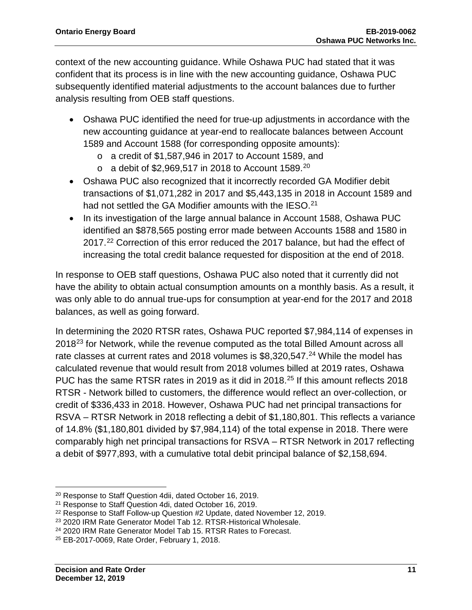context of the new accounting guidance. While Oshawa PUC had stated that it was confident that its process is in line with the new accounting guidance, Oshawa PUC subsequently identified material adjustments to the account balances due to further analysis resulting from OEB staff questions.

- Oshawa PUC identified the need for true-up adjustments in accordance with the new accounting guidance at year-end to reallocate balances between Account 1589 and Account 1588 (for corresponding opposite amounts):
	- o a credit of \$1,587,946 in 2017 to Account 1589, and
	- $\circ$  a debit of \$2,969,517 in [20](#page-11-0)18 to Account 1589.<sup>20</sup>
- Oshawa PUC also recognized that it incorrectly recorded GA Modifier debit transactions of \$1,071,282 in 2017 and \$5,443,135 in 2018 in Account 1589 and had not settled the GA Modifier amounts with the IESO.<sup>[21](#page-11-1)</sup>
- In its investigation of the large annual balance in Account 1588, Oshawa PUC identified an \$878,565 posting error made between Accounts 1588 and 1580 in 2017.<sup>[22](#page-11-2)</sup> Correction of this error reduced the 2017 balance, but had the effect of increasing the total credit balance requested for disposition at the end of 2018.

In response to OEB staff questions, Oshawa PUC also noted that it currently did not have the ability to obtain actual consumption amounts on a monthly basis. As a result, it was only able to do annual true-ups for consumption at year-end for the 2017 and 2018 balances, as well as going forward.

In determining the 2020 RTSR rates, Oshawa PUC reported \$7,984,114 of expenses in 2018[23](#page-11-3) for Network, while the revenue computed as the total Billed Amount across all rate classes at current rates and 2018 volumes is \$8,320,547.<sup>[24](#page-11-4)</sup> While the model has calculated revenue that would result from 2018 volumes billed at 2019 rates, Oshawa PUC has the same RTSR rates in 2019 as it did in 2018.<sup>[25](#page-11-5)</sup> If this amount reflects 2018 RTSR - Network billed to customers, the difference would reflect an over-collection, or credit of \$336,433 in 2018. However, Oshawa PUC had net principal transactions for RSVA – RTSR Network in 2018 reflecting a debit of \$1,180,801. This reflects a variance of 14.8% (\$1,180,801 divided by \$7,984,114) of the total expense in 2018. There were comparably high net principal transactions for RSVA – RTSR Network in 2017 reflecting a debit of \$977,893, with a cumulative total debit principal balance of \$2,158,694.

l

<span id="page-11-0"></span><sup>20</sup> Response to Staff Question 4dii, dated October 16, 2019.

<span id="page-11-1"></span><sup>21</sup> Response to Staff Question 4di, dated October 16, 2019.

<span id="page-11-2"></span><sup>&</sup>lt;sup>22</sup> Response to Staff Follow-up Question #2 Update, dated November 12, 2019.

<span id="page-11-3"></span><sup>23</sup> 2020 IRM Rate Generator Model Tab 12. RTSR-Historical Wholesale.

<span id="page-11-4"></span><sup>24</sup> 2020 IRM Rate Generator Model Tab 15. RTSR Rates to Forecast.

<span id="page-11-5"></span><sup>25</sup> EB-2017-0069, Rate Order, February 1, 2018.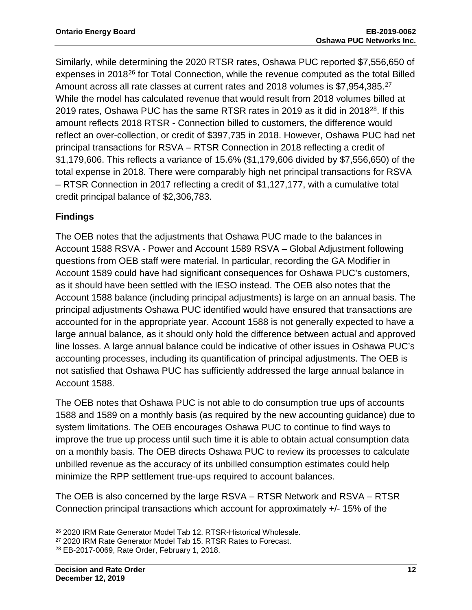Similarly, while determining the 2020 RTSR rates, Oshawa PUC reported \$7,556,650 of expenses in 2018<sup>[26](#page-12-0)</sup> for Total Connection, while the revenue computed as the total Billed Amount across all rate classes at current rates and 2018 volumes is \$7,954,385.<sup>[27](#page-12-1)</sup> While the model has calculated revenue that would result from 2018 volumes billed at 2019 rates, Oshawa PUC has the same RTSR rates in 2019 as it did in 2018[28](#page-12-2). If this amount reflects 2018 RTSR - Connection billed to customers, the difference would reflect an over-collection, or credit of \$397,735 in 2018. However, Oshawa PUC had net principal transactions for RSVA – RTSR Connection in 2018 reflecting a credit of \$1,179,606. This reflects a variance of 15.6% (\$1,179,606 divided by \$7,556,650) of the total expense in 2018. There were comparably high net principal transactions for RSVA – RTSR Connection in 2017 reflecting a credit of \$1,127,177, with a cumulative total credit principal balance of \$2,306,783.

### **Findings**

The OEB notes that the adjustments that Oshawa PUC made to the balances in Account 1588 RSVA - Power and Account 1589 RSVA – Global Adjustment following questions from OEB staff were material. In particular, recording the GA Modifier in Account 1589 could have had significant consequences for Oshawa PUC's customers, as it should have been settled with the IESO instead. The OEB also notes that the Account 1588 balance (including principal adjustments) is large on an annual basis. The principal adjustments Oshawa PUC identified would have ensured that transactions are accounted for in the appropriate year. Account 1588 is not generally expected to have a large annual balance, as it should only hold the difference between actual and approved line losses. A large annual balance could be indicative of other issues in Oshawa PUC's accounting processes, including its quantification of principal adjustments. The OEB is not satisfied that Oshawa PUC has sufficiently addressed the large annual balance in Account 1588.

The OEB notes that Oshawa PUC is not able to do consumption true ups of accounts 1588 and 1589 on a monthly basis (as required by the new accounting guidance) due to system limitations. The OEB encourages Oshawa PUC to continue to find ways to improve the true up process until such time it is able to obtain actual consumption data on a monthly basis. The OEB directs Oshawa PUC to review its processes to calculate unbilled revenue as the accuracy of its unbilled consumption estimates could help minimize the RPP settlement true-ups required to account balances.

The OEB is also concerned by the large RSVA – RTSR Network and RSVA – RTSR Connection principal transactions which account for approximately +/- 15% of the

l <sup>26</sup> 2020 IRM Rate Generator Model Tab 12. RTSR-Historical Wholesale.

<span id="page-12-1"></span><span id="page-12-0"></span><sup>27</sup> 2020 IRM Rate Generator Model Tab 15. RTSR Rates to Forecast.

<span id="page-12-2"></span><sup>28</sup> EB-2017-0069, Rate Order, February 1, 2018.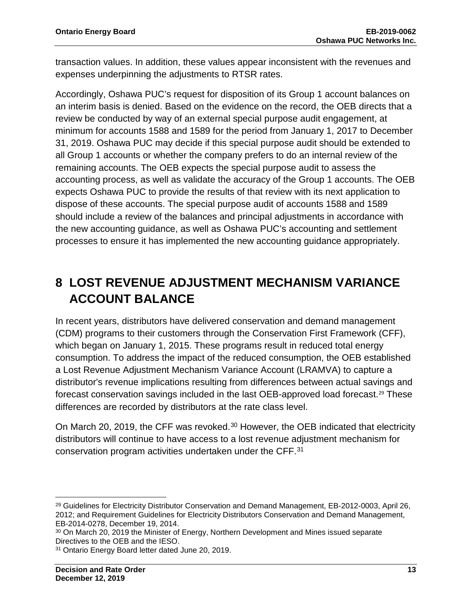transaction values. In addition, these values appear inconsistent with the revenues and expenses underpinning the adjustments to RTSR rates.

Accordingly, Oshawa PUC's request for disposition of its Group 1 account balances on an interim basis is denied. Based on the evidence on the record, the OEB directs that a review be conducted by way of an external special purpose audit engagement, at minimum for accounts 1588 and 1589 for the period from January 1, 2017 to December 31, 2019. Oshawa PUC may decide if this special purpose audit should be extended to all Group 1 accounts or whether the company prefers to do an internal review of the remaining accounts. The OEB expects the special purpose audit to assess the accounting process, as well as validate the accuracy of the Group 1 accounts. The OEB expects Oshawa PUC to provide the results of that review with its next application to dispose of these accounts. The special purpose audit of accounts 1588 and 1589 should include a review of the balances and principal adjustments in accordance with the new accounting guidance, as well as Oshawa PUC's accounting and settlement processes to ensure it has implemented the new accounting guidance appropriately.

## **8 LOST REVENUE ADJUSTMENT MECHANISM VARIANCE ACCOUNT BALANCE**

In recent years, distributors have delivered conservation and demand management (CDM) programs to their customers through the Conservation First Framework (CFF), which began on January 1, 2015. These programs result in reduced total energy consumption. To address the impact of the reduced consumption, the OEB established a Lost Revenue Adjustment Mechanism Variance Account (LRAMVA) to capture a distributor's revenue implications resulting from differences between actual savings and forecast conservation savings included in the last OEB-approved load forecast.<sup>[29](#page-13-0)</sup> These differences are recorded by distributors at the rate class level.

On March 20, 2019, the CFF was revoked.<sup>[30](#page-13-1)</sup> However, the OEB indicated that electricity distributors will continue to have access to a lost revenue adjustment mechanism for conservation program activities undertaken under the CFF.[31](#page-13-2)

 $\overline{a}$ 

<span id="page-13-0"></span><sup>&</sup>lt;sup>29</sup> Guidelines for Electricity Distributor Conservation and Demand Management, EB-2012-0003, April 26, 2012; and Requirement Guidelines for Electricity Distributors Conservation and Demand Management, EB-2014-0278, December 19, 2014.

<span id="page-13-1"></span><sup>&</sup>lt;sup>30</sup> On March 20, 2019 the Minister of Energy, Northern Development and Mines issued separate Directives to the OEB and the IESO.

<span id="page-13-2"></span><sup>31</sup> Ontario Energy Board letter dated June 20, 2019.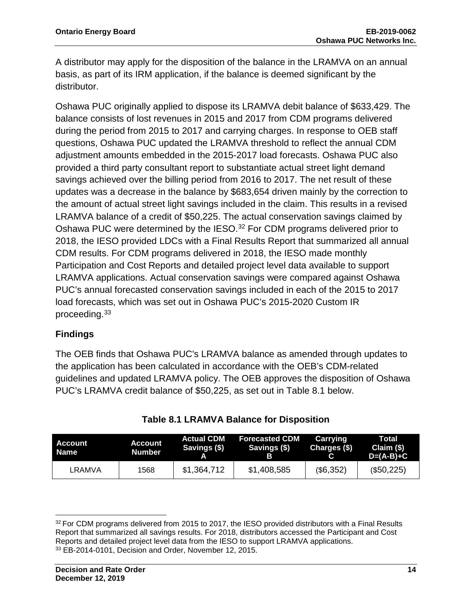A distributor may apply for the disposition of the balance in the LRAMVA on an annual basis, as part of its IRM application, if the balance is deemed significant by the distributor.

Oshawa PUC originally applied to dispose its LRAMVA debit balance of \$633,429. The balance consists of lost revenues in 2015 and 2017 from CDM programs delivered during the period from 2015 to 2017 and carrying charges. In response to OEB staff questions, Oshawa PUC updated the LRAMVA threshold to reflect the annual CDM adjustment amounts embedded in the 2015-2017 load forecasts. Oshawa PUC also provided a third party consultant report to substantiate actual street light demand savings achieved over the billing period from 2016 to 2017. The net result of these updates was a decrease in the balance by \$683,654 driven mainly by the correction to the amount of actual street light savings included in the claim. This results in a revised LRAMVA balance of a credit of \$50,225. The actual conservation savings claimed by Oshawa PUC were determined by the IESO.<sup>[32](#page-14-0)</sup> For CDM programs delivered prior to 2018, the IESO provided LDCs with a Final Results Report that summarized all annual CDM results. For CDM programs delivered in 2018, the IESO made monthly Participation and Cost Reports and detailed project level data available to support LRAMVA applications. Actual conservation savings were compared against Oshawa PUC's annual forecasted conservation savings included in each of the 2015 to 2017 load forecasts, which was set out in Oshawa PUC's 2015-2020 Custom IR proceeding.[33](#page-14-1)

### **Findings**

l

The OEB finds that Oshawa PUC's LRAMVA balance as amended through updates to the application has been calculated in accordance with the OEB's CDM-related guidelines and updated LRAMVA policy. The OEB approves the disposition of Oshawa PUC's LRAMVA credit balance of \$50,225, as set out in Table 8.1 below.

| Account<br><b>Name</b> | <b>Account</b><br>Number | <b>Actual CDM</b><br>Savings (\$) | <b>Forecasted CDM</b><br>Savings (\$) | Carrying<br>Charges (\$) | Total<br>Claim (\$)<br>$D=(A-B)+C$ |
|------------------------|--------------------------|-----------------------------------|---------------------------------------|--------------------------|------------------------------------|
| LRAMVA                 | 1568                     | \$1,364,712                       | \$1,408,585                           | (\$6,352)                | (\$50,225)                         |

<span id="page-14-1"></span><span id="page-14-0"></span><sup>32</sup> For CDM programs delivered from 2015 to 2017, the IESO provided distributors with a Final Results Report that summarized all savings results. For 2018, distributors accessed the Participant and Cost Reports and detailed project level data from the IESO to support LRAMVA applications. <sup>33</sup> EB-2014-0101, Decision and Order, November 12, 2015.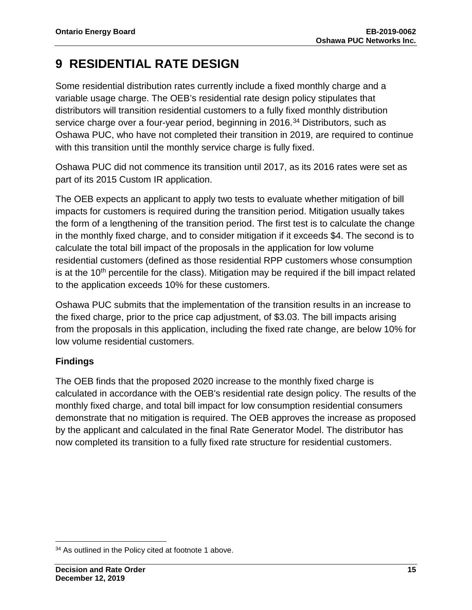## **9 RESIDENTIAL RATE DESIGN**

Some residential distribution rates currently include a fixed monthly charge and a variable usage charge. The OEB's residential rate design policy stipulates that distributors will transition residential customers to a fully fixed monthly distribution service charge over a four-year period, beginning in 2016.<sup>[34](#page-15-0)</sup> Distributors, such as Oshawa PUC, who have not completed their transition in 2019, are required to continue with this transition until the monthly service charge is fully fixed.

Oshawa PUC did not commence its transition until 2017, as its 2016 rates were set as part of its 2015 Custom IR application.

The OEB expects an applicant to apply two tests to evaluate whether mitigation of bill impacts for customers is required during the transition period. Mitigation usually takes the form of a lengthening of the transition period. The first test is to calculate the change in the monthly fixed charge, and to consider mitigation if it exceeds \$4. The second is to calculate the total bill impact of the proposals in the application for low volume residential customers (defined as those residential RPP customers whose consumption is at the  $10<sup>th</sup>$  percentile for the class). Mitigation may be required if the bill impact related to the application exceeds 10% for these customers.

Oshawa PUC submits that the implementation of the transition results in an increase to the fixed charge, prior to the price cap adjustment, of \$3.03. The bill impacts arising from the proposals in this application, including the fixed rate change, are below 10% for low volume residential customers.

### **Findings**

The OEB finds that the proposed 2020 increase to the monthly fixed charge is calculated in accordance with the OEB's residential rate design policy. The results of the monthly fixed charge, and total bill impact for low consumption residential consumers demonstrate that no mitigation is required. The OEB approves the increase as proposed by the applicant and calculated in the final Rate Generator Model. The distributor has now completed its transition to a fully fixed rate structure for residential customers.

l

<span id="page-15-0"></span><sup>&</sup>lt;sup>34</sup> As outlined in the Policy cited at footnote 1 above.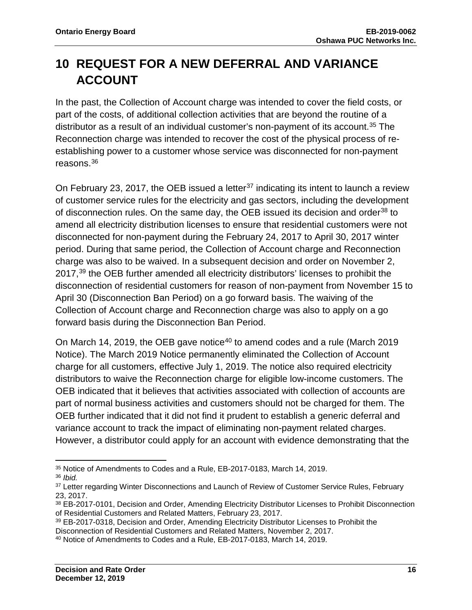## **10 REQUEST FOR A NEW DEFERRAL AND VARIANCE ACCOUNT**

In the past, the Collection of Account charge was intended to cover the field costs, or part of the costs, of additional collection activities that are beyond the routine of a distributor as a result of an individual customer's non-payment of its account.<sup>35</sup> The Reconnection charge was intended to recover the cost of the physical process of reestablishing power to a customer whose service was disconnected for non-payment reasons.[36](#page-16-1)

On February 23, 2017, the OEB issued a letter<sup>[37](#page-16-2)</sup> indicating its intent to launch a review of customer service rules for the electricity and gas sectors, including the development of disconnection rules. On the same day, the OEB issued its decision and order<sup>[38](#page-16-3)</sup> to amend all electricity distribution licenses to ensure that residential customers were not disconnected for non-payment during the February 24, 2017 to April 30, 2017 winter period. During that same period, the Collection of Account charge and Reconnection charge was also to be waived. In a subsequent decision and order on November 2, 2017,<sup>[39](#page-16-4)</sup> the OEB further amended all electricity distributors' licenses to prohibit the disconnection of residential customers for reason of non-payment from November 15 to April 30 (Disconnection Ban Period) on a go forward basis. The waiving of the Collection of Account charge and Reconnection charge was also to apply on a go forward basis during the Disconnection Ban Period.

On March 14, 2019, the OEB gave notice<sup>[40](#page-16-5)</sup> to amend codes and a rule (March 2019) Notice). The March 2019 Notice permanently eliminated the Collection of Account charge for all customers, effective July 1, 2019. The notice also required electricity distributors to waive the Reconnection charge for eligible low-income customers. The OEB indicated that it believes that activities associated with collection of accounts are part of normal business activities and customers should not be charged for them. The OEB further indicated that it did not find it prudent to establish a generic deferral and variance account to track the impact of eliminating non-payment related charges. However, a distributor could apply for an account with evidence demonstrating that the

 $\overline{a}$ <sup>35</sup> Notice of Amendments to Codes and a Rule, EB-2017-0183, March 14, 2019.

<span id="page-16-1"></span><span id="page-16-0"></span><sup>36</sup> *Ibid.* 

<span id="page-16-2"></span><sup>&</sup>lt;sup>37</sup> Letter regarding Winter Disconnections and Launch of Review of Customer Service Rules, February 23, 2017.

<span id="page-16-3"></span><sup>38</sup> EB-2017-0101, Decision and Order, Amending Electricity Distributor Licenses to Prohibit Disconnection of Residential Customers and Related Matters, February 23, 2017.

<span id="page-16-4"></span><sup>39</sup> EB-2017-0318, Decision and Order, Amending Electricity Distributor Licenses to Prohibit the Disconnection of Residential Customers and Related Matters, November 2, 2017.

<span id="page-16-5"></span><sup>40</sup> Notice of Amendments to Codes and a Rule, EB-2017-0183, March 14, 2019.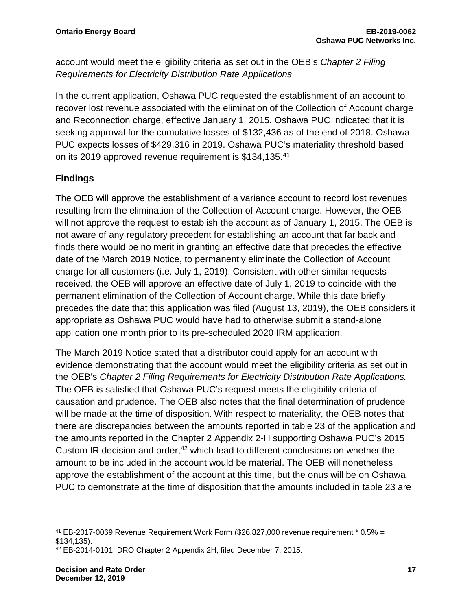account would meet the eligibility criteria as set out in the OEB's *Chapter 2 Filing Requirements for Electricity Distribution Rate Applications*

In the current application, Oshawa PUC requested the establishment of an account to recover lost revenue associated with the elimination of the Collection of Account charge and Reconnection charge, effective January 1, 2015. Oshawa PUC indicated that it is seeking approval for the cumulative losses of \$132,436 as of the end of 2018. Oshawa PUC expects losses of \$429,316 in 2019. Oshawa PUC's materiality threshold based on its 2019 approved revenue requirement is \$134,135. [41](#page-17-0)

### **Findings**

The OEB will approve the establishment of a variance account to record lost revenues resulting from the elimination of the Collection of Account charge. However, the OEB will not approve the request to establish the account as of January 1, 2015. The OEB is not aware of any regulatory precedent for establishing an account that far back and finds there would be no merit in granting an effective date that precedes the effective date of the March 2019 Notice, to permanently eliminate the Collection of Account charge for all customers (i.e. July 1, 2019). Consistent with other similar requests received, the OEB will approve an effective date of July 1, 2019 to coincide with the permanent elimination of the Collection of Account charge. While this date briefly precedes the date that this application was filed (August 13, 2019), the OEB considers it appropriate as Oshawa PUC would have had to otherwise submit a stand-alone application one month prior to its pre-scheduled 2020 IRM application.

The March 2019 Notice stated that a distributor could apply for an account with evidence demonstrating that the account would meet the eligibility criteria as set out in the OEB's *Chapter 2 Filing Requirements for Electricity Distribution Rate Applications.*  The OEB is satisfied that Oshawa PUC's request meets the eligibility criteria of causation and prudence. The OEB also notes that the final determination of prudence will be made at the time of disposition. With respect to materiality, the OEB notes that there are discrepancies between the amounts reported in table 23 of the application and the amounts reported in the Chapter 2 Appendix 2-H supporting Oshawa PUC's 2015 Custom IR decision and order, [42](#page-17-1) which lead to different conclusions on whether the amount to be included in the account would be material. The OEB will nonetheless approve the establishment of the account at this time, but the onus will be on Oshawa PUC to demonstrate at the time of disposition that the amounts included in table 23 are

<span id="page-17-0"></span>l <sup>41</sup> EB-2017-0069 Revenue Requirement Work Form (\$26,827,000 revenue requirement  $*$  0.5% = \$134,135).

<span id="page-17-1"></span><sup>42</sup> EB-2014-0101, DRO Chapter 2 Appendix 2H, filed December 7, 2015.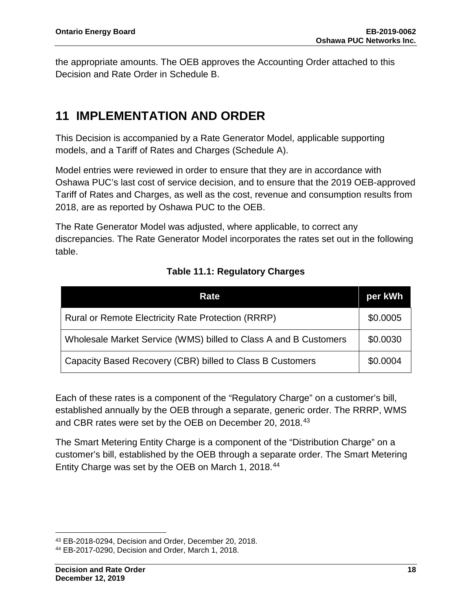the appropriate amounts. The OEB approves the Accounting Order attached to this Decision and Rate Order in Schedule B.

## **11 IMPLEMENTATION AND ORDER**

This Decision is accompanied by a Rate Generator Model, applicable supporting models, and a Tariff of Rates and Charges (Schedule A).

Model entries were reviewed in order to ensure that they are in accordance with Oshawa PUC's last cost of service decision, and to ensure that the 2019 OEB-approved Tariff of Rates and Charges, as well as the cost, revenue and consumption results from 2018, are as reported by Oshawa PUC to the OEB.

The Rate Generator Model was adjusted, where applicable, to correct any discrepancies. The Rate Generator Model incorporates the rates set out in the following table.

| Rate                                                             | per kWh  |
|------------------------------------------------------------------|----------|
| <b>Rural or Remote Electricity Rate Protection (RRRP)</b>        | \$0.0005 |
| Wholesale Market Service (WMS) billed to Class A and B Customers | \$0.0030 |
| Capacity Based Recovery (CBR) billed to Class B Customers        | \$0.0004 |

### **Table 11.1: Regulatory Charges**

Each of these rates is a component of the "Regulatory Charge" on a customer's bill, established annually by the OEB through a separate, generic order. The RRRP, WMS and CBR rates were set by the OEB on December 20, 2018.[43](#page-18-0)

The Smart Metering Entity Charge is a component of the "Distribution Charge" on a customer's bill, established by the OEB through a separate order. The Smart Metering Entity Charge was set by the OEB on March 1, 2018.[44](#page-18-1)

l

<span id="page-18-0"></span><sup>43</sup> EB-2018-0294, Decision and Order, December 20, 2018.

<span id="page-18-1"></span><sup>44</sup> EB-2017-0290, Decision and Order, March 1, 2018.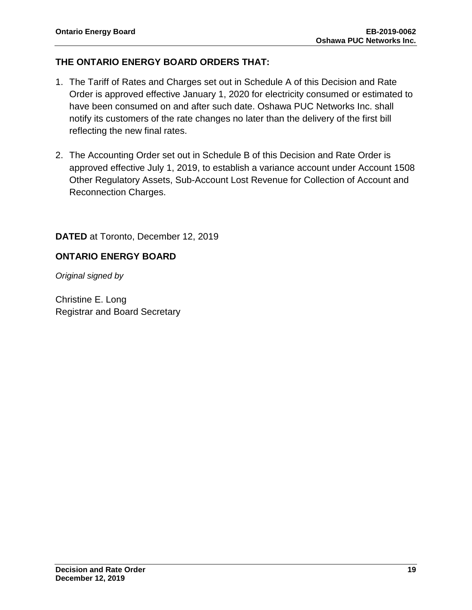### **THE ONTARIO ENERGY BOARD ORDERS THAT:**

- 1. The Tariff of Rates and Charges set out in Schedule A of this Decision and Rate Order is approved effective January 1, 2020 for electricity consumed or estimated to have been consumed on and after such date. Oshawa PUC Networks Inc. shall notify its customers of the rate changes no later than the delivery of the first bill reflecting the new final rates.
- 2. The Accounting Order set out in Schedule B of this Decision and Rate Order is approved effective July 1, 2019, to establish a variance account under Account 1508 Other Regulatory Assets, Sub-Account Lost Revenue for Collection of Account and Reconnection Charges.

### **DATED** at Toronto, December 12, 2019

### **ONTARIO ENERGY BOARD**

*Original signed by*

Christine E. Long Registrar and Board Secretary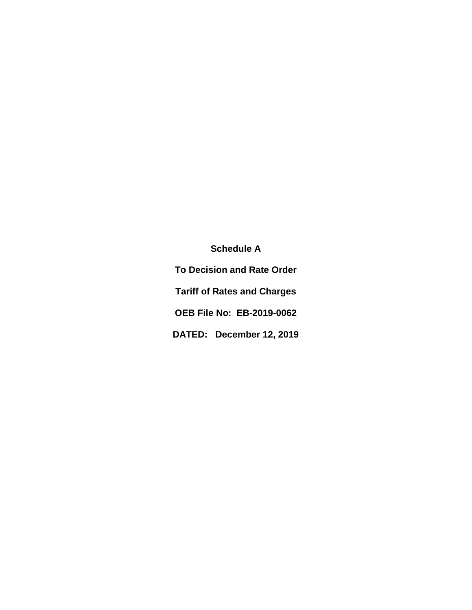**Schedule A To Decision and Rate Order Tariff of Rates and Charges OEB File No: EB-2019-0062 DATED: December 12, 2019**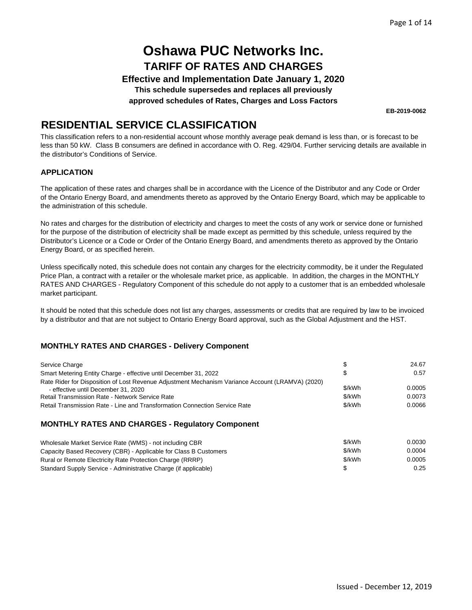**Effective and Implementation Date January 1, 2020**

**This schedule supersedes and replaces all previously**

**approved schedules of Rates, Charges and Loss Factors**

**EB-2019-0062**

## **RESIDENTIAL SERVICE CLASSIFICATION**

This classification refers to a non-residential account whose monthly average peak demand is less than, or is forecast to be less than 50 kW. Class B consumers are defined in accordance with O. Reg. 429/04. Further servicing details are available in the distributor's Conditions of Service.

#### **APPLICATION**

The application of these rates and charges shall be in accordance with the Licence of the Distributor and any Code or Order of the Ontario Energy Board, and amendments thereto as approved by the Ontario Energy Board, which may be applicable to the administration of this schedule.

No rates and charges for the distribution of electricity and charges to meet the costs of any work or service done or furnished for the purpose of the distribution of electricity shall be made except as permitted by this schedule, unless required by the Distributor's Licence or a Code or Order of the Ontario Energy Board, and amendments thereto as approved by the Ontario Energy Board, or as specified herein.

Unless specifically noted, this schedule does not contain any charges for the electricity commodity, be it under the Regulated Price Plan, a contract with a retailer or the wholesale market price, as applicable. In addition, the charges in the MONTHLY RATES AND CHARGES - Regulatory Component of this schedule do not apply to a customer that is an embedded wholesale market participant.

It should be noted that this schedule does not list any charges, assessments or credits that are required by law to be invoiced by a distributor and that are not subject to Ontario Energy Board approval, such as the Global Adjustment and the HST.

#### **MONTHLY RATES AND CHARGES - Delivery Component**

| Service Charge                                                                                                                          |        | 24.67  |
|-----------------------------------------------------------------------------------------------------------------------------------------|--------|--------|
| Smart Metering Entity Charge - effective until December 31, 2022                                                                        |        | 0.57   |
| Rate Rider for Disposition of Lost Revenue Adjustment Mechanism Variance Account (LRAMVA) (2020)<br>- effective until December 31, 2020 | \$/kWh | 0.0005 |
| <b>Retail Transmission Rate - Network Service Rate</b>                                                                                  | \$/kWh | 0.0073 |
| Retail Transmission Rate - Line and Transformation Connection Service Rate                                                              | \$/kWh | 0.0066 |

| Wholesale Market Service Rate (WMS) - not including CBR          | \$/kWh | 0.0030 |
|------------------------------------------------------------------|--------|--------|
| Capacity Based Recovery (CBR) - Applicable for Class B Customers | \$/kWh | 0.0004 |
| Rural or Remote Electricity Rate Protection Charge (RRRP)        | \$/kWh | 0.0005 |
| Standard Supply Service - Administrative Charge (if applicable)  |        | 0.25   |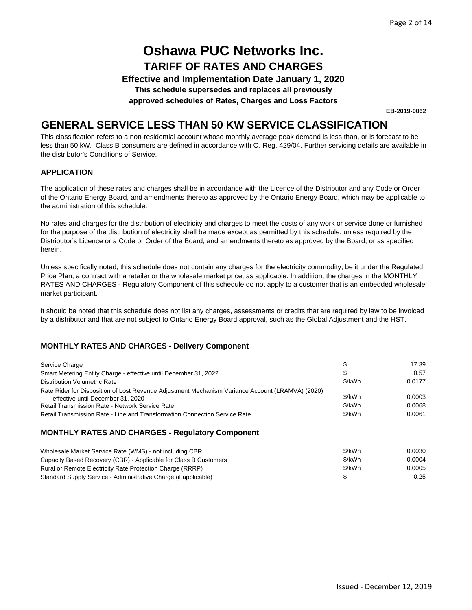**Effective and Implementation Date January 1, 2020**

**This schedule supersedes and replaces all previously**

**approved schedules of Rates, Charges and Loss Factors**

**EB-2019-0062**

### **GENERAL SERVICE LESS THAN 50 KW SERVICE CLASSIFICATION**

This classification refers to a non-residential account whose monthly average peak demand is less than, or is forecast to be less than 50 kW. Class B consumers are defined in accordance with O. Reg. 429/04. Further servicing details are available in the distributor's Conditions of Service.

#### **APPLICATION**

The application of these rates and charges shall be in accordance with the Licence of the Distributor and any Code or Order of the Ontario Energy Board, and amendments thereto as approved by the Ontario Energy Board, which may be applicable to the administration of this schedule.

No rates and charges for the distribution of electricity and charges to meet the costs of any work or service done or furnished for the purpose of the distribution of electricity shall be made except as permitted by this schedule, unless required by the Distributor's Licence or a Code or Order of the Board, and amendments thereto as approved by the Board, or as specified herein.

Unless specifically noted, this schedule does not contain any charges for the electricity commodity, be it under the Regulated Price Plan, a contract with a retailer or the wholesale market price, as applicable. In addition, the charges in the MONTHLY RATES AND CHARGES - Regulatory Component of this schedule do not apply to a customer that is an embedded wholesale market participant.

It should be noted that this schedule does not list any charges, assessments or credits that are required by law to be invoiced by a distributor and that are not subject to Ontario Energy Board approval, such as the Global Adjustment and the HST.

#### **MONTHLY RATES AND CHARGES - Delivery Component**

| Service Charge                                                                                                                          |        | 17.39  |
|-----------------------------------------------------------------------------------------------------------------------------------------|--------|--------|
| Smart Metering Entity Charge - effective until December 31, 2022                                                                        |        | 0.57   |
| Distribution Volumetric Rate                                                                                                            | \$/kWh | 0.0177 |
| Rate Rider for Disposition of Lost Revenue Adjustment Mechanism Variance Account (LRAMVA) (2020)<br>- effective until December 31, 2020 | \$/kWh | 0.0003 |
| <b>Retail Transmission Rate - Network Service Rate</b>                                                                                  | \$/kWh | 0.0068 |
| Retail Transmission Rate - Line and Transformation Connection Service Rate                                                              | \$/kWh | 0.0061 |

| Wholesale Market Service Rate (WMS) - not including CBR          | \$/kWh | 0.0030 |
|------------------------------------------------------------------|--------|--------|
| Capacity Based Recovery (CBR) - Applicable for Class B Customers | \$/kWh | 0.0004 |
| Rural or Remote Electricity Rate Protection Charge (RRRP)        | \$/kWh | 0.0005 |
| Standard Supply Service - Administrative Charge (if applicable)  |        | 0.25   |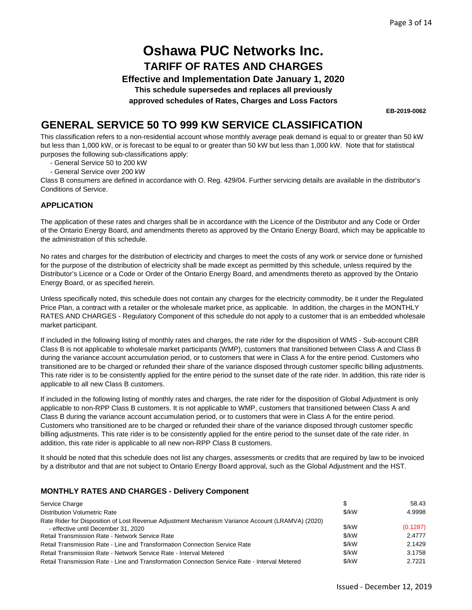**Effective and Implementation Date January 1, 2020**

**This schedule supersedes and replaces all previously**

**approved schedules of Rates, Charges and Loss Factors**

**EB-2019-0062**

### **GENERAL SERVICE 50 TO 999 KW SERVICE CLASSIFICATION**

This classification refers to a non-residential account whose monthly average peak demand is equal to or greater than 50 kW but less than 1,000 kW, or is forecast to be equal to or greater than 50 kW but less than 1,000 kW. Note that for statistical purposes the following sub-classifications apply:

- General Service 50 to 200 kW
- General Service over 200 kW

Class B consumers are defined in accordance with O. Reg. 429/04. Further servicing details are available in the distributor's Conditions of Service.

#### **APPLICATION**

The application of these rates and charges shall be in accordance with the Licence of the Distributor and any Code or Order of the Ontario Energy Board, and amendments thereto as approved by the Ontario Energy Board, which may be applicable to the administration of this schedule.

No rates and charges for the distribution of electricity and charges to meet the costs of any work or service done or furnished for the purpose of the distribution of electricity shall be made except as permitted by this schedule, unless required by the Distributor's Licence or a Code or Order of the Ontario Energy Board, and amendments thereto as approved by the Ontario Energy Board, or as specified herein.

Unless specifically noted, this schedule does not contain any charges for the electricity commodity, be it under the Regulated Price Plan, a contract with a retailer or the wholesale market price, as applicable. In addition, the charges in the MONTHLY RATES AND CHARGES - Regulatory Component of this schedule do not apply to a customer that is an embedded wholesale market participant.

If included in the following listing of monthly rates and charges, the rate rider for the disposition of WMS - Sub-account CBR Class B is not applicable to wholesale market participants (WMP), customers that transitioned between Class A and Class B during the variance account accumulation period, or to customers that were in Class A for the entire period. Customers who transitioned are to be charged or refunded their share of the variance disposed through customer specific billing adjustments. This rate rider is to be consistently applied for the entire period to the sunset date of the rate rider. In addition, this rate rider is applicable to all new Class B customers.

If included in the following listing of monthly rates and charges, the rate rider for the disposition of Global Adjustment is only applicable to non-RPP Class B customers. It is not applicable to WMP, customers that transitioned between Class A and Class B during the variance account accumulation period, or to customers that were in Class A for the entire period. Customers who transitioned are to be charged or refunded their share of the variance disposed through customer specific billing adjustments. This rate rider is to be consistently applied for the entire period to the sunset date of the rate rider. In addition, this rate rider is applicable to all new non-RPP Class B customers.

It should be noted that this schedule does not list any charges, assessments or credits that are required by law to be invoiced by a distributor and that are not subject to Ontario Energy Board approval, such as the Global Adjustment and the HST.

#### **MONTHLY RATES AND CHARGES - Delivery Component**

| Service Charge                                                                                   |       | 58.43    |
|--------------------------------------------------------------------------------------------------|-------|----------|
| Distribution Volumetric Rate                                                                     | \$/kW | 4.9998   |
| Rate Rider for Disposition of Lost Revenue Adjustment Mechanism Variance Account (LRAMVA) (2020) |       |          |
| - effective until December 31, 2020                                                              | \$/kW | (0.1287) |
| <b>Retail Transmission Rate - Network Service Rate</b>                                           | \$/kW | 2.4777   |
| Retail Transmission Rate - Line and Transformation Connection Service Rate                       | \$/kW | 2.1429   |
| Retail Transmission Rate - Network Service Rate - Interval Metered                               | \$/kW | 3.1758   |
| Retail Transmission Rate - Line and Transformation Connection Service Rate - Interval Metered    | \$/kW | 2.7221   |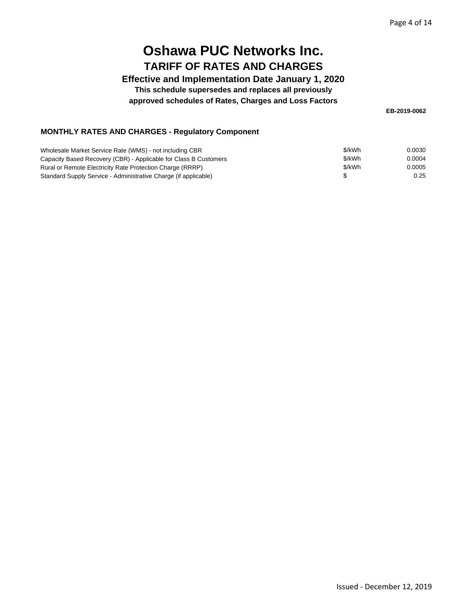**Effective and Implementation Date January 1, 2020**

**This schedule supersedes and replaces all previously**

**approved schedules of Rates, Charges and Loss Factors**

**EB-2019-0062**

| Wholesale Market Service Rate (WMS) - not including CBR          | \$/kWh | 0.0030 |
|------------------------------------------------------------------|--------|--------|
| Capacity Based Recovery (CBR) - Applicable for Class B Customers | \$/kWh | 0.0004 |
| Rural or Remote Electricity Rate Protection Charge (RRRP)        | \$/kWh | 0.0005 |
| Standard Supply Service - Administrative Charge (if applicable)  |        | 0.25   |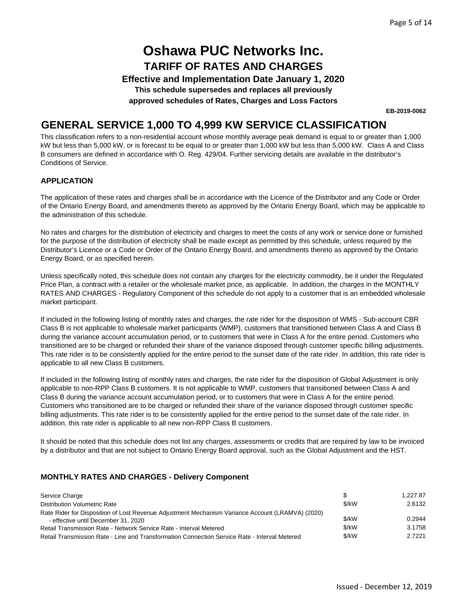**Effective and Implementation Date January 1, 2020**

**This schedule supersedes and replaces all previously**

**approved schedules of Rates, Charges and Loss Factors**

**EB-2019-0062**

## **GENERAL SERVICE 1,000 TO 4,999 KW SERVICE CLASSIFICATION**

This classification refers to a non-residential account whose monthly average peak demand is equal to or greater than 1,000 kW but less than 5,000 kW, or is forecast to be equal to or greater than 1,000 kW but less than 5,000 kW. Class A and Class B consumers are defined in accordance with O. Reg. 429/04. Further servicing details are available in the distributor's Conditions of Service.

#### **APPLICATION**

The application of these rates and charges shall be in accordance with the Licence of the Distributor and any Code or Order of the Ontario Energy Board, and amendments thereto as approved by the Ontario Energy Board, which may be applicable to the administration of this schedule.

No rates and charges for the distribution of electricity and charges to meet the costs of any work or service done or furnished for the purpose of the distribution of electricity shall be made except as permitted by this schedule, unless required by the Distributor's Licence or a Code or Order of the Ontario Energy Board, and amendments thereto as approved by the Ontario Energy Board, or as specified herein.

Unless specifically noted, this schedule does not contain any charges for the electricity commodity, be it under the Regulated Price Plan, a contract with a retailer or the wholesale market price, as applicable. In addition, the charges in the MONTHLY RATES AND CHARGES - Regulatory Component of this schedule do not apply to a customer that is an embedded wholesale market participant.

If included in the following listing of monthly rates and charges, the rate rider for the disposition of WMS - Sub-account CBR Class B is not applicable to wholesale market participants (WMP), customers that transitioned between Class A and Class B during the variance account accumulation period, or to customers that were in Class A for the entire period. Customers who transitioned are to be charged or refunded their share of the variance disposed through customer specific billing adjustments. This rate rider is to be consistently applied for the entire period to the sunset date of the rate rider. In addition, this rate rider is applicable to all new Class B customers.

If included in the following listing of monthly rates and charges, the rate rider for the disposition of Global Adjustment is only applicable to non-RPP Class B customers. It is not applicable to WMP, customers that transitioned between Class A and Class B during the variance account accumulation period, or to customers that were in Class A for the entire period. Customers who transitioned are to be charged or refunded their share of the variance disposed through customer specific billing adjustments. This rate rider is to be consistently applied for the entire period to the sunset date of the rate rider. In addition, this rate rider is applicable to all new non-RPP Class B customers.

It should be noted that this schedule does not list any charges, assessments or credits that are required by law to be invoiced by a distributor and that are not subject to Ontario Energy Board approval, such as the Global Adjustment and the HST.

#### **MONTHLY RATES AND CHARGES - Delivery Component**

| Service Charge                                                                                   |       | 1.227.87 |
|--------------------------------------------------------------------------------------------------|-------|----------|
| <b>Distribution Volumetric Rate</b>                                                              | \$/kW | 2.6132   |
| Rate Rider for Disposition of Lost Revenue Adjustment Mechanism Variance Account (LRAMVA) (2020) |       |          |
| - effective until December 31, 2020                                                              | \$/kW | 0.2944   |
| Retail Transmission Rate - Network Service Rate - Interval Metered                               | \$/kW | 3.1758   |
| Retail Transmission Rate - Line and Transformation Connection Service Rate - Interval Metered    | \$/kW | 2.7221   |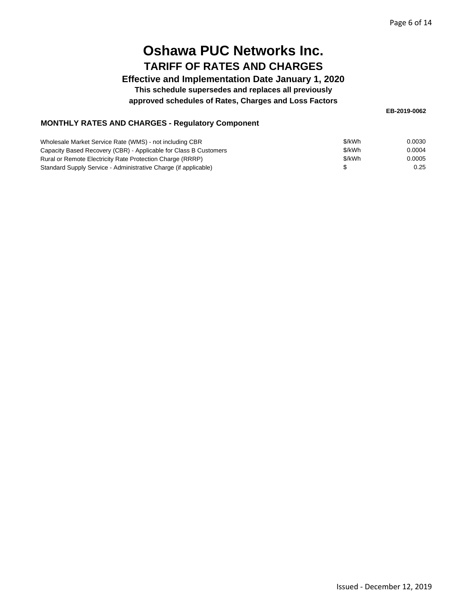#### **Effective and Implementation Date January 1, 2020**

**This schedule supersedes and replaces all previously**

#### **approved schedules of Rates, Charges and Loss Factors**

**EB-2019-0062**

| Wholesale Market Service Rate (WMS) - not including CBR          | \$/kWh | 0.0030 |
|------------------------------------------------------------------|--------|--------|
| Capacity Based Recovery (CBR) - Applicable for Class B Customers | \$/kWh | 0.0004 |
| Rural or Remote Electricity Rate Protection Charge (RRRP)        | \$/kWh | 0.0005 |
| Standard Supply Service - Administrative Charge (if applicable)  |        | 0.25   |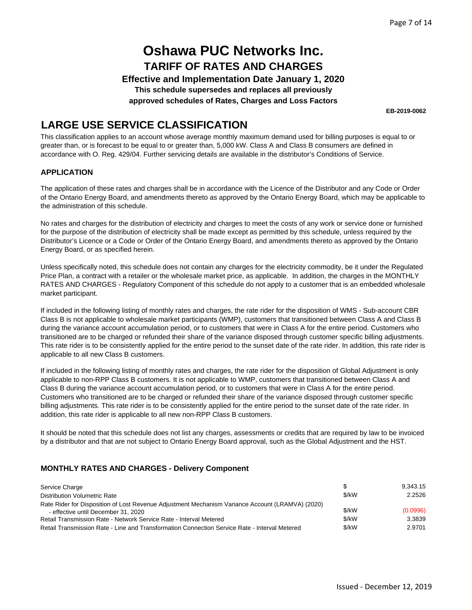**Effective and Implementation Date January 1, 2020**

**This schedule supersedes and replaces all previously**

**approved schedules of Rates, Charges and Loss Factors**

**EB-2019-0062**

## **LARGE USE SERVICE CLASSIFICATION**

This classification applies to an account whose average monthly maximum demand used for billing purposes is equal to or greater than, or is forecast to be equal to or greater than, 5,000 kW. Class A and Class B consumers are defined in accordance with O. Reg. 429/04. Further servicing details are available in the distributor's Conditions of Service.

#### **APPLICATION**

The application of these rates and charges shall be in accordance with the Licence of the Distributor and any Code or Order of the Ontario Energy Board, and amendments thereto as approved by the Ontario Energy Board, which may be applicable to the administration of this schedule.

No rates and charges for the distribution of electricity and charges to meet the costs of any work or service done or furnished for the purpose of the distribution of electricity shall be made except as permitted by this schedule, unless required by the Distributor's Licence or a Code or Order of the Ontario Energy Board, and amendments thereto as approved by the Ontario Energy Board, or as specified herein.

Unless specifically noted, this schedule does not contain any charges for the electricity commodity, be it under the Regulated Price Plan, a contract with a retailer or the wholesale market price, as applicable. In addition, the charges in the MONTHLY RATES AND CHARGES - Regulatory Component of this schedule do not apply to a customer that is an embedded wholesale market participant.

If included in the following listing of monthly rates and charges, the rate rider for the disposition of WMS - Sub-account CBR Class B is not applicable to wholesale market participants (WMP), customers that transitioned between Class A and Class B during the variance account accumulation period, or to customers that were in Class A for the entire period. Customers who transitioned are to be charged or refunded their share of the variance disposed through customer specific billing adjustments. This rate rider is to be consistently applied for the entire period to the sunset date of the rate rider. In addition, this rate rider is applicable to all new Class B customers.

If included in the following listing of monthly rates and charges, the rate rider for the disposition of Global Adjustment is only applicable to non-RPP Class B customers. It is not applicable to WMP, customers that transitioned between Class A and Class B during the variance account accumulation period, or to customers that were in Class A for the entire period. Customers who transitioned are to be charged or refunded their share of the variance disposed through customer specific billing adjustments. This rate rider is to be consistently applied for the entire period to the sunset date of the rate rider. In addition, this rate rider is applicable to all new non-RPP Class B customers.

It should be noted that this schedule does not list any charges, assessments or credits that are required by law to be invoiced by a distributor and that are not subject to Ontario Energy Board approval, such as the Global Adjustment and the HST.

#### **MONTHLY RATES AND CHARGES - Delivery Component**

| Service Charge                                                                                   |       | 9.343.15 |
|--------------------------------------------------------------------------------------------------|-------|----------|
| <b>Distribution Volumetric Rate</b>                                                              | \$/kW | 2.2526   |
| Rate Rider for Disposition of Lost Revenue Adjustment Mechanism Variance Account (LRAMVA) (2020) |       |          |
| - effective until December 31, 2020                                                              | \$/kW | (0.0996) |
| Retail Transmission Rate - Network Service Rate - Interval Metered                               | \$/kW | 3.3839   |
| Retail Transmission Rate - Line and Transformation Connection Service Rate - Interval Metered    | \$/kW | 2.9701   |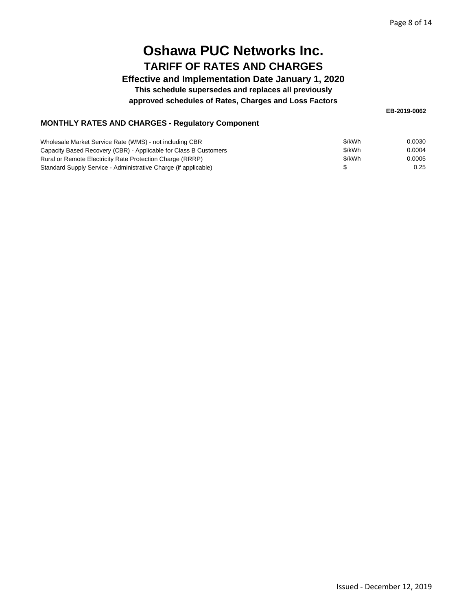#### **Effective and Implementation Date January 1, 2020**

**This schedule supersedes and replaces all previously**

#### **approved schedules of Rates, Charges and Loss Factors**

**EB-2019-0062**

| Wholesale Market Service Rate (WMS) - not including CBR          | \$/kWh | 0.0030 |
|------------------------------------------------------------------|--------|--------|
| Capacity Based Recovery (CBR) - Applicable for Class B Customers | \$/kWh | 0.0004 |
| Rural or Remote Electricity Rate Protection Charge (RRRP)        | \$/kWh | 0.0005 |
| Standard Supply Service - Administrative Charge (if applicable)  |        | 0.25   |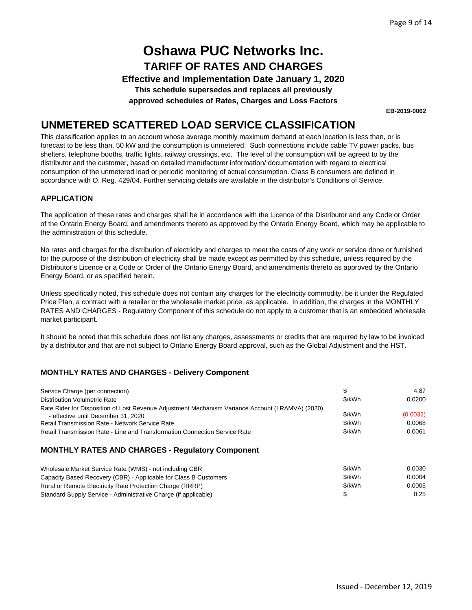**Effective and Implementation Date January 1, 2020**

**This schedule supersedes and replaces all previously**

**approved schedules of Rates, Charges and Loss Factors**

**EB-2019-0062**

### **UNMETERED SCATTERED LOAD SERVICE CLASSIFICATION**

This classification applies to an account whose average monthly maximum demand at each location is less than, or is forecast to be less than, 50 kW and the consumption is unmetered. Such connections include cable TV power packs, bus shelters, telephone booths, traffic lights, railway crossings, etc. The level of the consumption will be agreed to by the distributor and the customer, based on detailed manufacturer information/ documentation with regard to electrical consumption of the unmetered load or periodic monitoring of actual consumption. Class B consumers are defined in accordance with O. Reg. 429/04. Further servicing details are available in the distributor's Conditions of Service.

#### **APPLICATION**

The application of these rates and charges shall be in accordance with the Licence of the Distributor and any Code or Order of the Ontario Energy Board, and amendments thereto as approved by the Ontario Energy Board, which may be applicable to the administration of this schedule.

No rates and charges for the distribution of electricity and charges to meet the costs of any work or service done or furnished for the purpose of the distribution of electricity shall be made except as permitted by this schedule, unless required by the Distributor's Licence or a Code or Order of the Ontario Energy Board, and amendments thereto as approved by the Ontario Energy Board, or as specified herein.

Unless specifically noted, this schedule does not contain any charges for the electricity commodity, be it under the Regulated Price Plan, a contract with a retailer or the wholesale market price, as applicable. In addition, the charges in the MONTHLY RATES AND CHARGES - Regulatory Component of this schedule do not apply to a customer that is an embedded wholesale market participant.

It should be noted that this schedule does not list any charges, assessments or credits that are required by law to be invoiced by a distributor and that are not subject to Ontario Energy Board approval, such as the Global Adjustment and the HST.

#### **MONTHLY RATES AND CHARGES - Delivery Component**

| Service Charge (per connection)                                                                                                         | S      | 4.87     |
|-----------------------------------------------------------------------------------------------------------------------------------------|--------|----------|
| Distribution Volumetric Rate                                                                                                            | \$/kWh | 0.0200   |
| Rate Rider for Disposition of Lost Revenue Adjustment Mechanism Variance Account (LRAMVA) (2020)<br>- effective until December 31, 2020 | \$/kWh | (0.0032) |
| <b>Retail Transmission Rate - Network Service Rate</b>                                                                                  | \$/kWh | 0.0068   |
| Retail Transmission Rate - Line and Transformation Connection Service Rate                                                              | \$/kWh | 0.0061   |
|                                                                                                                                         |        |          |

| Wholesale Market Service Rate (WMS) - not including CBR          | \$/kWh | 0.0030 |
|------------------------------------------------------------------|--------|--------|
| Capacity Based Recovery (CBR) - Applicable for Class B Customers | \$/kWh | 0.0004 |
| Rural or Remote Electricity Rate Protection Charge (RRRP)        | \$/kWh | 0.0005 |
| Standard Supply Service - Administrative Charge (if applicable)  |        | 0.25   |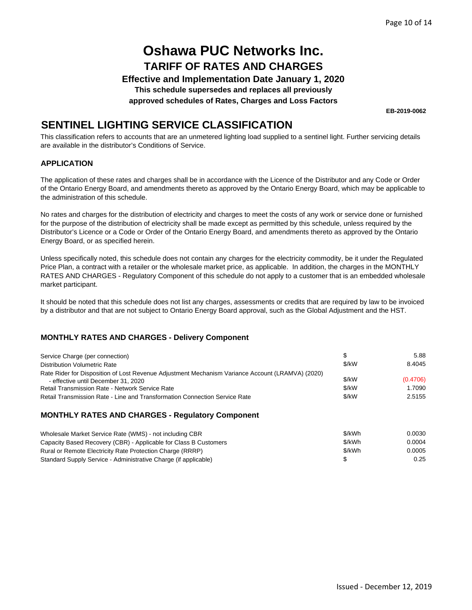**Effective and Implementation Date January 1, 2020**

**This schedule supersedes and replaces all previously**

**approved schedules of Rates, Charges and Loss Factors**

**EB-2019-0062**

### **SENTINEL LIGHTING SERVICE CLASSIFICATION**

This classification refers to accounts that are an unmetered lighting load supplied to a sentinel light. Further servicing details are available in the distributor's Conditions of Service.

#### **APPLICATION**

The application of these rates and charges shall be in accordance with the Licence of the Distributor and any Code or Order of the Ontario Energy Board, and amendments thereto as approved by the Ontario Energy Board, which may be applicable to the administration of this schedule.

No rates and charges for the distribution of electricity and charges to meet the costs of any work or service done or furnished for the purpose of the distribution of electricity shall be made except as permitted by this schedule, unless required by the Distributor's Licence or a Code or Order of the Ontario Energy Board, and amendments thereto as approved by the Ontario Energy Board, or as specified herein.

Unless specifically noted, this schedule does not contain any charges for the electricity commodity, be it under the Regulated Price Plan, a contract with a retailer or the wholesale market price, as applicable. In addition, the charges in the MONTHLY RATES AND CHARGES - Regulatory Component of this schedule do not apply to a customer that is an embedded wholesale market participant.

It should be noted that this schedule does not list any charges, assessments or credits that are required by law to be invoiced by a distributor and that are not subject to Ontario Energy Board approval, such as the Global Adjustment and the HST.

#### **MONTHLY RATES AND CHARGES - Delivery Component**

| Service Charge (per connection)                                                                  |       | 5.88     |
|--------------------------------------------------------------------------------------------------|-------|----------|
| <b>Distribution Volumetric Rate</b>                                                              | \$/kW | 8.4045   |
| Rate Rider for Disposition of Lost Revenue Adjustment Mechanism Variance Account (LRAMVA) (2020) |       |          |
| - effective until December 31, 2020                                                              | \$/kW | (0.4706) |
| <b>Retail Transmission Rate - Network Service Rate</b>                                           | \$/kW | 1.7090   |
| Retail Transmission Rate - Line and Transformation Connection Service Rate                       | \$/kW | 2.5155   |

| Wholesale Market Service Rate (WMS) - not including CBR          | \$/kWh | 0.0030 |
|------------------------------------------------------------------|--------|--------|
| Capacity Based Recovery (CBR) - Applicable for Class B Customers | \$/kWh | 0.0004 |
| Rural or Remote Electricity Rate Protection Charge (RRRP)        | \$/kWh | 0.0005 |
| Standard Supply Service - Administrative Charge (if applicable)  |        | 0.25   |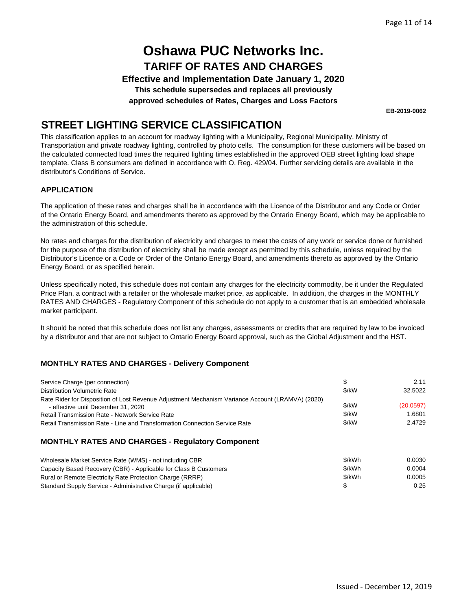**Effective and Implementation Date January 1, 2020**

**This schedule supersedes and replaces all previously**

**approved schedules of Rates, Charges and Loss Factors**

**EB-2019-0062**

### **STREET LIGHTING SERVICE CLASSIFICATION**

This classification applies to an account for roadway lighting with a Municipality, Regional Municipality, Ministry of Transportation and private roadway lighting, controlled by photo cells. The consumption for these customers will be based on the calculated connected load times the required lighting times established in the approved OEB street lighting load shape template. Class B consumers are defined in accordance with O. Reg. 429/04. Further servicing details are available in the distributor's Conditions of Service.

#### **APPLICATION**

The application of these rates and charges shall be in accordance with the Licence of the Distributor and any Code or Order of the Ontario Energy Board, and amendments thereto as approved by the Ontario Energy Board, which may be applicable to the administration of this schedule.

No rates and charges for the distribution of electricity and charges to meet the costs of any work or service done or furnished for the purpose of the distribution of electricity shall be made except as permitted by this schedule, unless required by the Distributor's Licence or a Code or Order of the Ontario Energy Board, and amendments thereto as approved by the Ontario Energy Board, or as specified herein.

Unless specifically noted, this schedule does not contain any charges for the electricity commodity, be it under the Regulated Price Plan, a contract with a retailer or the wholesale market price, as applicable. In addition, the charges in the MONTHLY RATES AND CHARGES - Regulatory Component of this schedule do not apply to a customer that is an embedded wholesale market participant.

It should be noted that this schedule does not list any charges, assessments or credits that are required by law to be invoiced by a distributor and that are not subject to Ontario Energy Board approval, such as the Global Adjustment and the HST.

#### **MONTHLY RATES AND CHARGES - Delivery Component**

| Service Charge (per connection)                                                                  |       | 2.11      |
|--------------------------------------------------------------------------------------------------|-------|-----------|
| Distribution Volumetric Rate                                                                     | \$/kW | 32.5022   |
| Rate Rider for Disposition of Lost Revenue Adjustment Mechanism Variance Account (LRAMVA) (2020) |       |           |
| - effective until December 31, 2020                                                              | \$/kW | (20.0597) |
| <b>Retail Transmission Rate - Network Service Rate</b>                                           | \$/kW | 1.6801    |
| Retail Transmission Rate - Line and Transformation Connection Service Rate                       | \$/kW | 2.4729    |

| Wholesale Market Service Rate (WMS) - not including CBR          | \$/kWh | 0.0030 |
|------------------------------------------------------------------|--------|--------|
| Capacity Based Recovery (CBR) - Applicable for Class B Customers | \$/kWh | 0.0004 |
| Rural or Remote Electricity Rate Protection Charge (RRRP)        | \$/kWh | 0.0005 |
| Standard Supply Service - Administrative Charge (if applicable)  |        | 0.25   |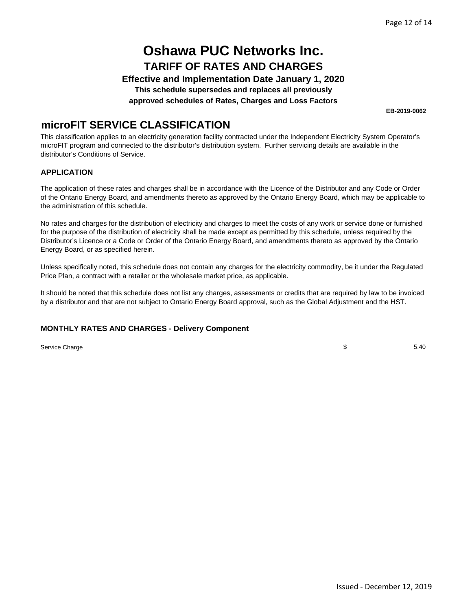**Effective and Implementation Date January 1, 2020**

**This schedule supersedes and replaces all previously**

**approved schedules of Rates, Charges and Loss Factors**

**EB-2019-0062**

### **microFIT SERVICE CLASSIFICATION**

This classification applies to an electricity generation facility contracted under the Independent Electricity System Operator's microFIT program and connected to the distributor's distribution system. Further servicing details are available in the distributor's Conditions of Service.

#### **APPLICATION**

The application of these rates and charges shall be in accordance with the Licence of the Distributor and any Code or Order of the Ontario Energy Board, and amendments thereto as approved by the Ontario Energy Board, which may be applicable to the administration of this schedule.

No rates and charges for the distribution of electricity and charges to meet the costs of any work or service done or furnished for the purpose of the distribution of electricity shall be made except as permitted by this schedule, unless required by the Distributor's Licence or a Code or Order of the Ontario Energy Board, and amendments thereto as approved by the Ontario Energy Board, or as specified herein.

Unless specifically noted, this schedule does not contain any charges for the electricity commodity, be it under the Regulated Price Plan, a contract with a retailer or the wholesale market price, as applicable.

It should be noted that this schedule does not list any charges, assessments or credits that are required by law to be invoiced by a distributor and that are not subject to Ontario Energy Board approval, such as the Global Adjustment and the HST.

#### **MONTHLY RATES AND CHARGES - Delivery Component**

Service Charge

 $\$\,$  5.40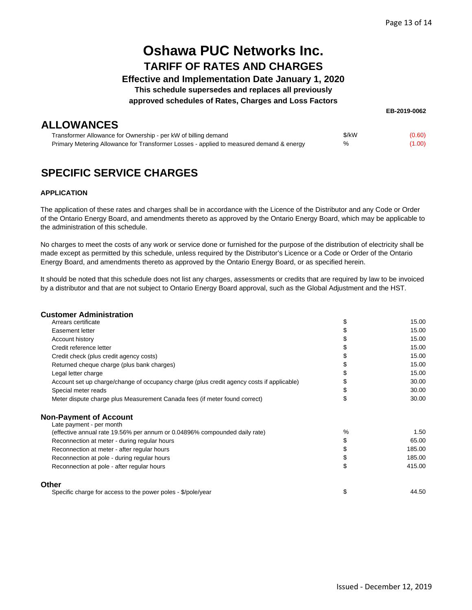#### **Effective and Implementation Date January 1, 2020**

**This schedule supersedes and replaces all previously**

#### **approved schedules of Rates, Charges and Loss Factors**

### **ALLOWANCES**

| EB-2019-0062 |  |
|--------------|--|
|--------------|--|

| Transformer Allowance for Ownership - per kW of billing demand                          | \$/kW | (0.60) |
|-----------------------------------------------------------------------------------------|-------|--------|
| Primary Metering Allowance for Transformer Losses - applied to measured demand & energy | %     | (1.00) |

## **SPECIFIC SERVICE CHARGES**

#### **APPLICATION**

The application of these rates and charges shall be in accordance with the Licence of the Distributor and any Code or Order of the Ontario Energy Board, and amendments thereto as approved by the Ontario Energy Board, which may be applicable to the administration of this schedule.

No charges to meet the costs of any work or service done or furnished for the purpose of the distribution of electricity shall be made except as permitted by this schedule, unless required by the Distributor's Licence or a Code or Order of the Ontario Energy Board, and amendments thereto as approved by the Ontario Energy Board, or as specified herein.

It should be noted that this schedule does not list any charges, assessments or credits that are required by law to be invoiced by a distributor and that are not subject to Ontario Energy Board approval, such as the Global Adjustment and the HST.

#### **Customer Administration**

|    | 15.00     |
|----|-----------|
| S  | 15.00     |
| \$ | 15.00     |
| \$ | 15.00     |
| \$ | 15.00     |
| \$ | 15.00     |
| \$ | 15.00     |
| \$ | 30.00     |
| \$ | 30.00     |
| \$ | 30.00     |
|    |           |
|    | 1.50      |
| \$ | 65.00     |
| \$ | 185.00    |
| \$ | 185.00    |
| \$ | 415.00    |
|    |           |
| \$ | 44.50     |
|    | S<br>$\%$ |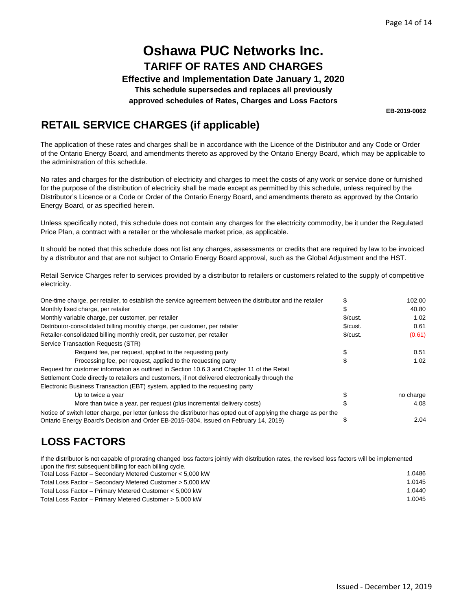**Effective and Implementation Date January 1, 2020**

**This schedule supersedes and replaces all previously**

**approved schedules of Rates, Charges and Loss Factors**

**EB-2019-0062**

## **RETAIL SERVICE CHARGES (if applicable)**

The application of these rates and charges shall be in accordance with the Licence of the Distributor and any Code or Order of the Ontario Energy Board, and amendments thereto as approved by the Ontario Energy Board, which may be applicable to the administration of this schedule.

No rates and charges for the distribution of electricity and charges to meet the costs of any work or service done or furnished for the purpose of the distribution of electricity shall be made except as permitted by this schedule, unless required by the Distributor's Licence or a Code or Order of the Ontario Energy Board, and amendments thereto as approved by the Ontario Energy Board, or as specified herein.

Unless specifically noted, this schedule does not contain any charges for the electricity commodity, be it under the Regulated Price Plan, a contract with a retailer or the wholesale market price, as applicable.

It should be noted that this schedule does not list any charges, assessments or credits that are required by law to be invoiced by a distributor and that are not subject to Ontario Energy Board approval, such as the Global Adjustment and the HST.

Retail Service Charges refer to services provided by a distributor to retailers or customers related to the supply of competitive electricity.

| One-time charge, per retailer, to establish the service agreement between the distributor and the retailer         |               | 102.00    |
|--------------------------------------------------------------------------------------------------------------------|---------------|-----------|
| Monthly fixed charge, per retailer                                                                                 |               | 40.80     |
| Monthly variable charge, per customer, per retailer                                                                | \$/cut.       | 1.02      |
| Distributor-consolidated billing monthly charge, per customer, per retailer                                        | $\frac{C}{2}$ | 0.61      |
| Retailer-consolidated billing monthly credit, per customer, per retailer                                           | $\frac{C}{2}$ | (0.61)    |
| Service Transaction Requests (STR)                                                                                 |               |           |
| Request fee, per request, applied to the requesting party                                                          |               | 0.51      |
| Processing fee, per request, applied to the requesting party                                                       |               | 1.02      |
| Request for customer information as outlined in Section 10.6.3 and Chapter 11 of the Retail                        |               |           |
| Settlement Code directly to retailers and customers, if not delivered electronically through the                   |               |           |
| Electronic Business Transaction (EBT) system, applied to the requesting party                                      |               |           |
| Up to twice a year                                                                                                 |               | no charge |
| More than twice a year, per request (plus incremental delivery costs)                                              |               | 4.08      |
| Notice of switch letter charge, per letter (unless the distributor has opted out of applying the charge as per the |               |           |
| Ontario Energy Board's Decision and Order EB-2015-0304, issued on February 14, 2019)                               |               | 2.04      |

## **LOSS FACTORS**

If the distributor is not capable of prorating changed loss factors jointly with distribution rates, the revised loss factors will be implemented upon the first subsequent billing for each billing cycle.

| Total Loss Factor – Secondary Metered Customer < 5,000 kW | 1.0486 |
|-----------------------------------------------------------|--------|
| Total Loss Factor - Secondary Metered Customer > 5,000 kW | 1.0145 |
| Total Loss Factor - Primary Metered Customer < 5,000 kW   | 1.0440 |
| Total Loss Factor – Primary Metered Customer > 5,000 kW   | 1.0045 |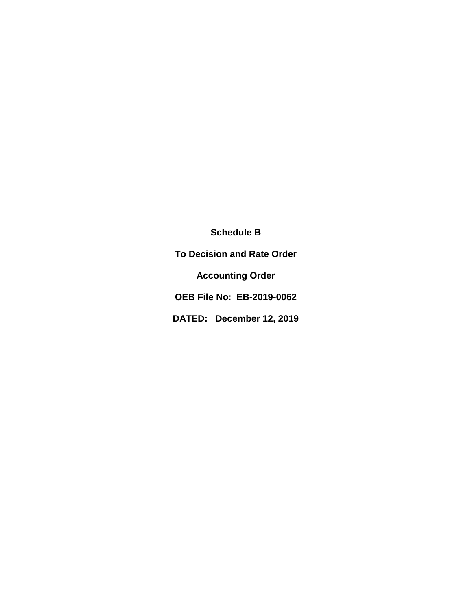**Schedule B**

**To Decision and Rate Order**

**Accounting Order** 

**OEB File No: EB-2019-0062**

**DATED: December 12, 2019**